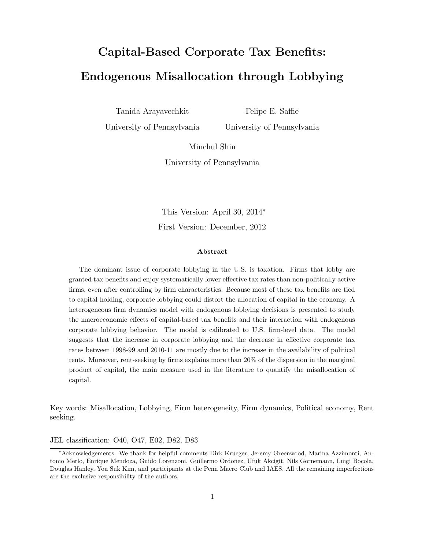# Capital-Based Corporate Tax Benefits: Endogenous Misallocation through Lobbying

Tanida Arayavechkit

Felipe E. Saffie

University of Pennsylvania

University of Pennsylvania

Minchul Shin

University of Pennsylvania

This Version: April 30, 2014<sup>∗</sup> First Version: December, 2012

#### Abstract

The dominant issue of corporate lobbying in the U.S. is taxation. Firms that lobby are granted tax benefits and enjoy systematically lower effective tax rates than non-politically active firms, even after controlling by firm characteristics. Because most of these tax benefits are tied to capital holding, corporate lobbying could distort the allocation of capital in the economy. A heterogeneous firm dynamics model with endogenous lobbying decisions is presented to study the macroeconomic effects of capital-based tax benefits and their interaction with endogenous corporate lobbying behavior. The model is calibrated to U.S. firm-level data. The model suggests that the increase in corporate lobbying and the decrease in effective corporate tax rates between 1998-99 and 2010-11 are mostly due to the increase in the availability of political rents. Moreover, rent-seeking by firms explains more than 20% of the dispersion in the marginal product of capital, the main measure used in the literature to quantify the misallocation of capital.

Key words: Misallocation, Lobbying, Firm heterogeneity, Firm dynamics, Political economy, Rent seeking.

JEL classification: O40, O47, E02, D82, D83

<sup>∗</sup>Acknowledgements: We thank for helpful comments Dirk Krueger, Jeremy Greenwood, Marina Azzimonti, Antonio Merlo, Enrique Mendoza, Guido Lorenzoni, Guillermo Ordoñez, Ufuk Akcigit, Nils Gornemann, Luigi Bocola, Douglas Hanley, You Suk Kim, and participants at the Penn Macro Club and IAES. All the remaining imperfections are the exclusive responsibility of the authors.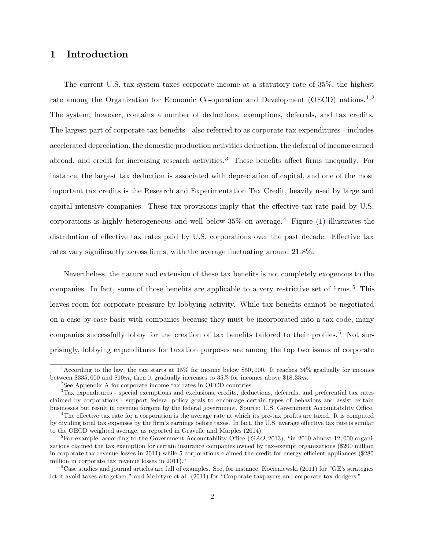# 1 Introduction

The current U.S. tax system taxes corporate income at a statutory rate of 35%, the highest rate among the Organization for Economic Co-operation and Development (OECD) nations.<sup>1,2</sup> The system, however, contains a number of deductions, exemptions, deferrals, and tax credits. The largest part of corporate tax benefits - also referred to as corporate tax expenditures - includes accelerated depreciation, the domestic production activities deduction, the deferral of income earned abroad, and credit for increasing research activities.<sup>3</sup> These benefits affect firms unequally. For instance, the largest tax deduction is associated with depreciation of capital, and one of the most important tax credits is the Research and Experimentation Tax Credit, heavily used by large and capital intensive companies. These tax provisions imply that the effective tax rate paid by U.S. corporations is highly heterogeneous and well below  $35\%$  on average.<sup>4</sup> Figure [\(1\)](#page-2-0) illustrates the distribution of effective tax rates paid by U.S. corporations over the past decade. Effective tax rates vary significantly across firms, with the average fluctuating around 21.8%.

Nevertheless, the nature and extension of these tax benefits is not completely exogenous to the companies. In fact, some of those benefits are applicable to a very restrictive set of firms.<sup>5</sup> This leaves room for corporate pressure by lobbying activity. While tax benefits cannot be negotiated on a case-by-case basis with companies because they must be incorporated into a tax code, many companies successfully lobby for the creation of tax benefits tailored to their profiles. <sup>6</sup> Not surprisingly, lobbying expenditures for taxation purposes are among the top two issues of corporate

<sup>1</sup>According to the law, the tax starts at 15% for income below \$50, 000. It reaches 34% gradually for incomes between \$335, 000 and \$10m, then it gradually increases to 35% for incomes above \$18.33m.

<sup>&</sup>lt;sup>2</sup>See [A](#page-30-0)ppendix A for corporate income tax rates in OECD countries.

<sup>3</sup>Tax expenditures - special exemptions and exclusions, credits, deductions, deferrals, and preferential tax rates claimed by corporations - support federal policy goals to encourage certain types of behaviors and assist certain businesses but result in revenue forgone by the federal government. Source: U.S. Government Accountability Office.

<sup>&</sup>lt;sup>4</sup>The effective tax rate for a corporation is the average rate at which its pre-tax profits are taxed. It is computed by dividing total tax expenses by the firm's earnings before taxes. In fact, the U.S. average effective tax rate is similar to the OECD weighted average, as reported in Gravelle and Marples (2014).

<sup>&</sup>lt;sup>5</sup>For example, according to the Government Accountability Office ( $GAO$ , 2013), "in 2010 almost 12,000 organizations claimed the tax exemption for certain insurance companies owned by tax-exempt organizations (\$200 million in corporate tax revenue losses in 2011) while 5 corporations claimed the credit for energy efficient appliances (\$280 million in corporate tax revenue losses in 2011)."

 $6C$ ase studies and journal articles are full of examples. See, for instance, Kocieniewski (2011) for "GE's strategies let it avoid taxes altogether," and McIntyre et al. (2011) for "Corporate taxpayers and corporate tax dodgers."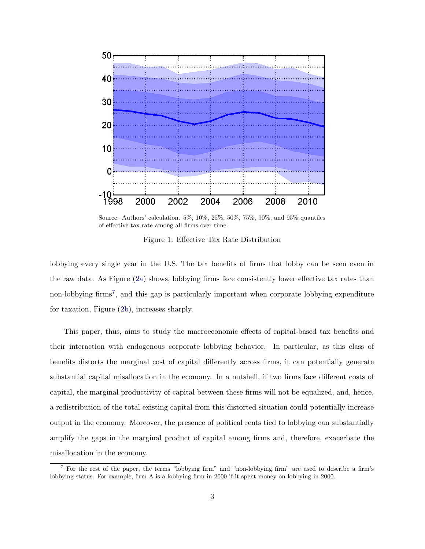<span id="page-2-0"></span>

Source: Authors' calculation. 5%, 10%, 25%, 50%, 75%, 90%, and 95% quantiles of effective tax rate among all firms over time.

Figure 1: Effective Tax Rate Distribution

lobbying every single year in the U.S. The tax benefits of firms that lobby can be seen even in the raw data. As Figure [\(2a](#page-3-0)) shows, lobbying firms face consistently lower effective tax rates than non-lobbying firms<sup>7</sup>, and this gap is particularly important when corporate lobbying expenditure for taxation, Figure ([2b](#page-3-0)), increases sharply.

This paper, thus, aims to study the macroeconomic effects of capital-based tax benefits and their interaction with endogenous corporate lobbying behavior. In particular, as this class of benefits distorts the marginal cost of capital differently across firms, it can potentially generate substantial capital misallocation in the economy. In a nutshell, if two firms face different costs of capital, the marginal productivity of capital between these firms will not be equalized, and, hence, a redistribution of the total existing capital from this distorted situation could potentially increase output in the economy. Moreover, the presence of political rents tied to lobbying can substantially amplify the gaps in the marginal product of capital among firms and, therefore, exacerbate the misallocation in the economy.

<sup>7</sup> For the rest of the paper, the terms "lobbying firm" and "non-lobbying firm" are used to describe a firm's lobbying status. For example, firm A is a lobbying firm in 2000 if it spent money on lobbying in 2000.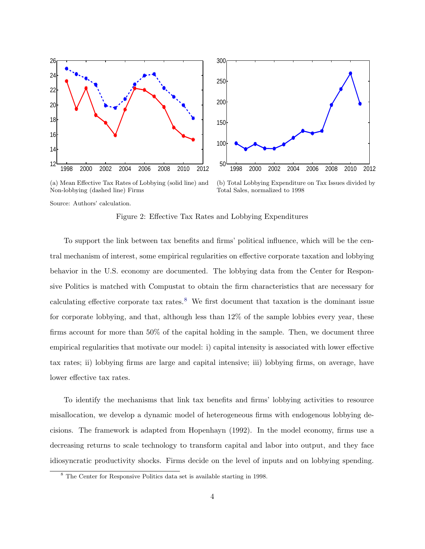<span id="page-3-0"></span>



(a) Mean Effective Tax Rates of Lobbying (solid line) and Non-lobbying (dashed line) Firms

(b) Total Lobbying Expenditure on Tax Issues divided by Total Sales, normalized to 1998

Source: Authors' calculation.

Figure 2: Effective Tax Rates and Lobbying Expenditures

To support the link between tax benefits and firms' political influence, which will be the central mechanism of interest, some empirical regularities on effective corporate taxation and lobbying behavior in the U.S. economy are documented. The lobbying data from the Center for Responsive Politics is matched with Compustat to obtain the firm characteristics that are necessary for calculating effective corporate tax rates.<sup>8</sup> We first document that taxation is the dominant issue for corporate lobbying, and that, although less than 12% of the sample lobbies every year, these firms account for more than 50% of the capital holding in the sample. Then, we document three empirical regularities that motivate our model: i) capital intensity is associated with lower effective tax rates; ii) lobbying firms are large and capital intensive; iii) lobbying firms, on average, have lower effective tax rates.

To identify the mechanisms that link tax benefits and firms' lobbying activities to resource misallocation, we develop a dynamic model of heterogeneous firms with endogenous lobbying decisions. The framework is adapted from Hopenhayn (1992). In the model economy, firms use a decreasing returns to scale technology to transform capital and labor into output, and they face idiosyncratic productivity shocks. Firms decide on the level of inputs and on lobbying spending.

<sup>8</sup> The Center for Responsive Politics data set is available starting in 1998.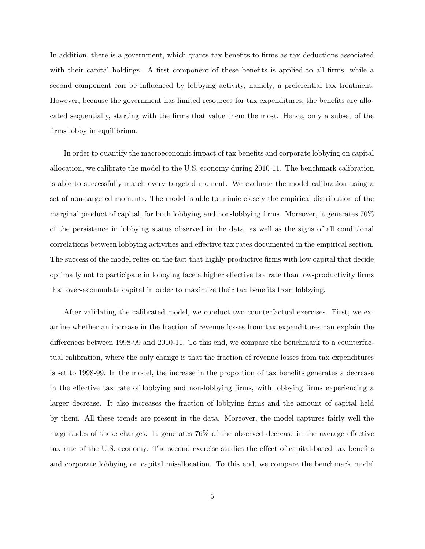In addition, there is a government, which grants tax benefits to firms as tax deductions associated with their capital holdings. A first component of these benefits is applied to all firms, while a second component can be influenced by lobbying activity, namely, a preferential tax treatment. However, because the government has limited resources for tax expenditures, the benefits are allocated sequentially, starting with the firms that value them the most. Hence, only a subset of the firms lobby in equilibrium.

In order to quantify the macroeconomic impact of tax benefits and corporate lobbying on capital allocation, we calibrate the model to the U.S. economy during 2010-11. The benchmark calibration is able to successfully match every targeted moment. We evaluate the model calibration using a set of non-targeted moments. The model is able to mimic closely the empirical distribution of the marginal product of capital, for both lobbying and non-lobbying firms. Moreover, it generates 70% of the persistence in lobbying status observed in the data, as well as the signs of all conditional correlations between lobbying activities and effective tax rates documented in the empirical section. The success of the model relies on the fact that highly productive firms with low capital that decide optimally not to participate in lobbying face a higher effective tax rate than low-productivity firms that over-accumulate capital in order to maximize their tax benefits from lobbying.

After validating the calibrated model, we conduct two counterfactual exercises. First, we examine whether an increase in the fraction of revenue losses from tax expenditures can explain the differences between 1998-99 and 2010-11. To this end, we compare the benchmark to a counterfactual calibration, where the only change is that the fraction of revenue losses from tax expenditures is set to 1998-99. In the model, the increase in the proportion of tax benefits generates a decrease in the effective tax rate of lobbying and non-lobbying firms, with lobbying firms experiencing a larger decrease. It also increases the fraction of lobbying firms and the amount of capital held by them. All these trends are present in the data. Moreover, the model captures fairly well the magnitudes of these changes. It generates 76% of the observed decrease in the average effective tax rate of the U.S. economy. The second exercise studies the effect of capital-based tax benefits and corporate lobbying on capital misallocation. To this end, we compare the benchmark model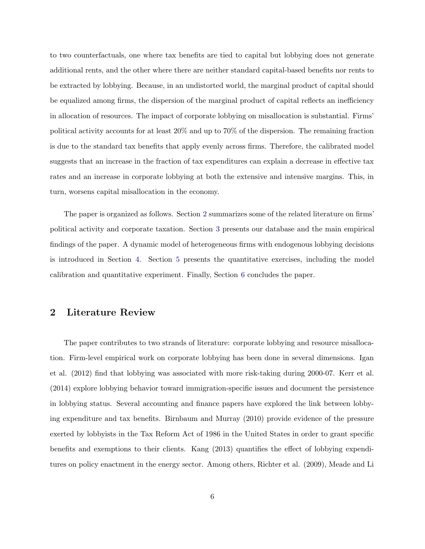to two counterfactuals, one where tax benefits are tied to capital but lobbying does not generate additional rents, and the other where there are neither standard capital-based benefits nor rents to be extracted by lobbying. Because, in an undistorted world, the marginal product of capital should be equalized among firms, the dispersion of the marginal product of capital reflects an inefficiency in allocation of resources. The impact of corporate lobbying on misallocation is substantial. Firms' political activity accounts for at least 20% and up to 70% of the dispersion. The remaining fraction is due to the standard tax benefits that apply evenly across firms. Therefore, the calibrated model suggests that an increase in the fraction of tax expenditures can explain a decrease in effective tax rates and an increase in corporate lobbying at both the extensive and intensive margins. This, in turn, worsens capital misallocation in the economy.

The paper is organized as follows. Section 2 summarizes some of the related literature on firms' political activity and corporate taxation. Section [3](#page-7-0) presents our database and the main empirical findings of the paper. A dynamic model of heterogeneous firms with endogenous lobbying decisions is introduced in Section [4.](#page-12-0) Section [5](#page-16-0) presents the quantitative exercises, including the model calibration and quantitative experiment. Finally, Section [6](#page-28-0) concludes the paper.

## 2 Literature Review

The paper contributes to two strands of literature: corporate lobbying and resource misallocation. Firm-level empirical work on corporate lobbying has been done in several dimensions. Igan et al. (2012) find that lobbying was associated with more risk-taking during 2000-07. Kerr et al. (2014) explore lobbying behavior toward immigration-specific issues and document the persistence in lobbying status. Several accounting and finance papers have explored the link between lobbying expenditure and tax benefits. Birnbaum and Murray (2010) provide evidence of the pressure exerted by lobbyists in the Tax Reform Act of 1986 in the United States in order to grant specific benefits and exemptions to their clients. Kang (2013) quantifies the effect of lobbying expenditures on policy enactment in the energy sector. Among others, Richter et al. (2009), Meade and Li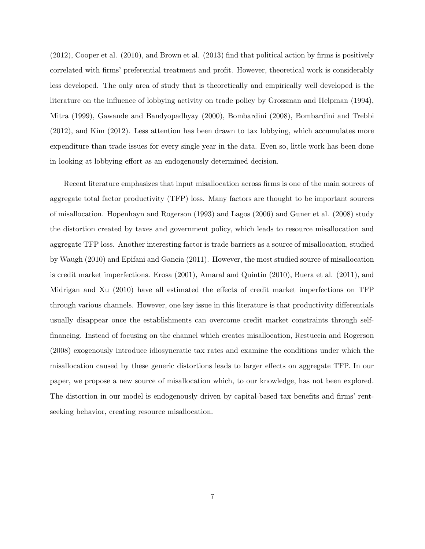(2012), Cooper et al. (2010), and Brown et al. (2013) find that political action by firms is positively correlated with firms' preferential treatment and profit. However, theoretical work is considerably less developed. The only area of study that is theoretically and empirically well developed is the literature on the influence of lobbying activity on trade policy by Grossman and Helpman (1994), Mitra (1999), Gawande and Bandyopadhyay (2000), Bombardini (2008), Bombardini and Trebbi (2012), and Kim (2012). Less attention has been drawn to tax lobbying, which accumulates more expenditure than trade issues for every single year in the data. Even so, little work has been done in looking at lobbying effort as an endogenously determined decision.

Recent literature emphasizes that input misallocation across firms is one of the main sources of aggregate total factor productivity (TFP) loss. Many factors are thought to be important sources of misallocation. Hopenhayn and Rogerson (1993) and Lagos (2006) and Guner et al. (2008) study the distortion created by taxes and government policy, which leads to resource misallocation and aggregate TFP loss. Another interesting factor is trade barriers as a source of misallocation, studied by Waugh (2010) and Epifani and Gancia (2011). However, the most studied source of misallocation is credit market imperfections. Erosa (2001), Amaral and Quintin (2010), Buera et al. (2011), and Midrigan and Xu (2010) have all estimated the effects of credit market imperfections on TFP through various channels. However, one key issue in this literature is that productivity differentials usually disappear once the establishments can overcome credit market constraints through selffinancing. Instead of focusing on the channel which creates misallocation, Restuccia and Rogerson (2008) exogenously introduce idiosyncratic tax rates and examine the conditions under which the misallocation caused by these generic distortions leads to larger effects on aggregate TFP. In our paper, we propose a new source of misallocation which, to our knowledge, has not been explored. The distortion in our model is endogenously driven by capital-based tax benefits and firms' rentseeking behavior, creating resource misallocation.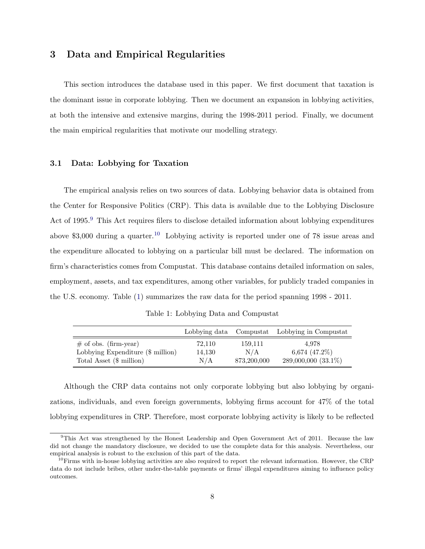# <span id="page-7-0"></span>3 Data and Empirical Regularities

This section introduces the database used in this paper. We first document that taxation is the dominant issue in corporate lobbying. Then we document an expansion in lobbying activities, at both the intensive and extensive margins, during the 1998-2011 period. Finally, we document the main empirical regularities that motivate our modelling strategy.

#### 3.1 Data: Lobbying for Taxation

The empirical analysis relies on two sources of data. Lobbying behavior data is obtained from the Center for Responsive Politics (CRP). This data is available due to the Lobbying Disclosure Act of 1995.<sup>9</sup> This Act requires filers to disclose detailed information about lobbying expenditures above  $$3,000$  during a quarter.<sup>10</sup> Lobbying activity is reported under one of 78 issue areas and the expenditure allocated to lobbying on a particular bill must be declared. The information on firm's characteristics comes from Compustat. This database contains detailed information on sales, employment, assets, and tax expenditures, among other variables, for publicly traded companies in the U.S. economy. Table (1) summarizes the raw data for the period spanning 1998 - 2011.

Table 1: Lobbying Data and Compustat

|                                                                 | Lobbying data Compustat |                | Lobbying in Compustat     |
|-----------------------------------------------------------------|-------------------------|----------------|---------------------------|
| $\#$ of obs. (firm-year)<br>Lobbying Expenditure $(\$$ million) | 72,110<br>14,130        | 159,111<br>N/A | 4.978<br>6,674 $(47.2\%)$ |
| Total Asset $(\text{$\frac{1}{2}$ million})$                    | N/A                     | 873,200,000    | 289,000,000 (33.1%)       |

Although the CRP data contains not only corporate lobbying but also lobbying by organizations, individuals, and even foreign governments, lobbying firms account for 47% of the total lobbying expenditures in CRP. Therefore, most corporate lobbying activity is likely to be reflected

 $9$ This Act was strengthened by the Honest Leadership and Open Government Act of 2011. Because the law did not change the mandatory disclosure, we decided to use the complete data for this analysis. Nevertheless, our empirical analysis is robust to the exclusion of this part of the data.

 $10$ Firms with in-house lobbying activities are also required to report the relevant information. However, the CRP data do not include bribes, other under-the-table payments or firms' illegal expenditures aiming to influence policy outcomes.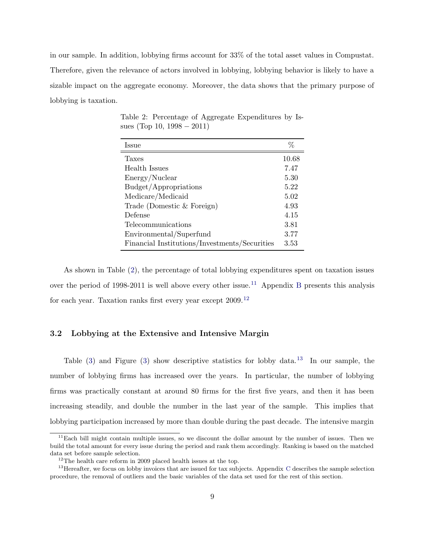in our sample. In addition, lobbying firms account for 33% of the total asset values in Compustat. Therefore, given the relevance of actors involved in lobbying, lobbying behavior is likely to have a sizable impact on the aggregate economy. Moreover, the data shows that the primary purpose of lobbying is taxation.

| Issue                                         | %     |
|-----------------------------------------------|-------|
| Taxes                                         | 10.68 |
| Health Issues                                 | 7.47  |
| Energy/Nuclear                                | 5.30  |
| Budget/Appropriations                         | 5.22  |
| Medicare/Medicaid                             | 5.02  |
| Trade (Domestic $&$ Foreign)                  | 4.93  |
| Defense                                       | 4.15  |
| Telecommunications                            | 3.81  |
| Environmental/Superfund                       | 3.77  |
| Financial Institutions/Investments/Securities | 3.53  |

Table 2: Percentage of Aggregate Expenditures by Issues (Top 10,  $1998 - 2011$ )

As shown in Table (2), the percentage of total lobbying expenditures spent on taxation issues over the period of 1998-2011 is well above every other issue.<sup>11</sup> Appendix [B](#page-31-0) presents this analysis for each year. Taxation ranks first every year except 2009.<sup>12</sup>

#### 3.2 Lobbying at the Extensive and Intensive Margin

Table ([3](#page-9-0)) and Figure [\(3\)](#page-10-0) show descriptive statistics for lobby data.<sup>13</sup> In our sample, the number of lobbying firms has increased over the years. In particular, the number of lobbying firms was practically constant at around 80 firms for the first five years, and then it has been increasing steadily, and double the number in the last year of the sample. This implies that lobbying participation increased by more than double during the past decade. The intensive margin

 $11$ Each bill might contain multiple issues, so we discount the dollar amount by the number of issues. Then we build the total amount for every issue during the period and rank them accordingly. Ranking is based on the matched data set before sample selection.

 $^{12}{\rm The}$  health care reform in 2009 placed health issues at the top.

 $13$  Hereafter, we focus on lobby invoices that are issued for tax subjects. Appendix [C](#page-31-0) describes the sample selection procedure, the removal of outliers and the basic variables of the data set used for the rest of this section.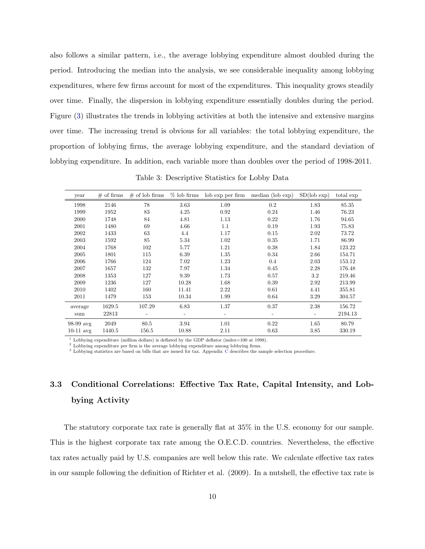<span id="page-9-0"></span>also follows a similar pattern, i.e., the average lobbying expenditure almost doubled during the period. Introducing the median into the analysis, we see considerable inequality among lobbying expenditures, where few firms account for most of the expenditures. This inequality grows steadily over time. Finally, the dispersion in lobbying expenditure essentially doubles during the period. Figure ([3](#page-10-0)) illustrates the trends in lobbying activities at both the intensive and extensive margins over time. The increasing trend is obvious for all variables: the total lobbying expenditure, the proportion of lobbying firms, the average lobbying expenditure, and the standard deviation of lobbying expenditure. In addition, each variable more than doubles over the period of 1998-2011.

year # of firms # of lob firms % lob firms lob exp per firm median (lob exp) SD(lob exp) total exp 1998 2146 78 3.63 1.09 0.2 1.83 85.35 1999 1952 83 4.25 0.92 0.24 1.46 76.23 2000 1748 84 4.81 1.13 0.22 1.76 94.65 2001 1480 69 4.66 1.1 0.19 1.93 75.83 2002 1433 63 4.4 1.17 0.15 2.02 73.72 2003 1592 85 5.34 1.02 0.35 1.71 86.99 2004 1768 102 5.77 1.21 0.38 1.84 123.22 2005 1801 115 6.39 1.35 0.34 2.66 154.71 2006 1766 124 7.02 1.23 0.4 2.03 153.12 2007 1657 132 7.97 1.34 0.45 2.28 176.48 2008 1353 127 9.39 1.73 0.57 3.2 219.46 2009 1236 127 10.28 1.68 0.39 2.92 213.99 2010 1402 160 11.41 2.22 0.61 4.41 355.81 2011 1479 153 10.34 1.99 0.64 3.29 304.57 average 1629.5 107.29 6.83 1.37 0.37 2.38 156.72 sum 22813 - - - - - - - - - - - 2194.13 98-99 avg 2049 80.5 3.94 1.01 0.22 1.65 80.79 10-11 avg 1440.5 156.5 10.88 2.11 0.63 3.85 330.19

Table 3: Descriptive Statistics for Lobby Data

 $\frac{1}{1}$  Lobbying expenditure (million dollars) is deflated by the GDP deflator (index=100 at 1998).

<sup>2</sup> Lobbying expenditure per firm is the average lobbying expenditure among lobbying firms.

<sup>3</sup> Lobbying statistics are based on bills that are issued for tax. Appendix  $\bar{C}$  $\bar{C}$  $\bar{C}$  describes the sample selection procedure.

# 3.3 Conditional Correlations: Effective Tax Rate, Capital Intensity, and Lobbying Activity

The statutory corporate tax rate is generally flat at 35% in the U.S. economy for our sample. This is the highest corporate tax rate among the O.E.C.D. countries. Nevertheless, the effective tax rates actually paid by U.S. companies are well below this rate. We calculate effective tax rates in our sample following the definition of Richter et al. (2009). In a nutshell, the effective tax rate is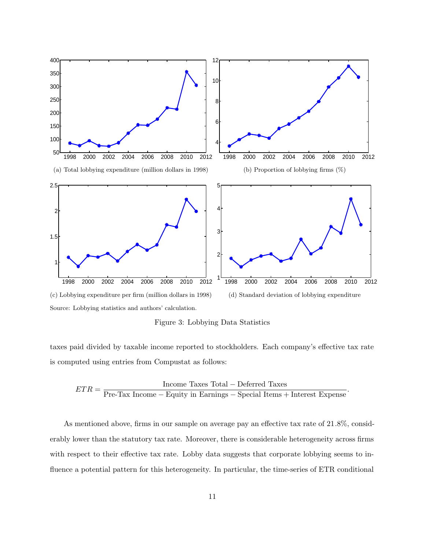<span id="page-10-0"></span>

Figure 3: Lobbying Data Statistics

taxes paid divided by taxable income reported to stockholders. Each company's effective tax rate is computed using entries from Compustat as follows:

$$
ETR = \frac{\text{Income Taxes Total} - \text{Deferred Taxes}}{\text{Pre-Tax Income} - \text{Equity in Earnings} - \text{Special items} + \text{Interest Express}}.
$$

As mentioned above, firms in our sample on average pay an effective tax rate of 21.8%, considerably lower than the statutory tax rate. Moreover, there is considerable heterogeneity across firms with respect to their effective tax rate. Lobby data suggests that corporate lobbying seems to influence a potential pattern for this heterogeneity. In particular, the time-series of ETR conditional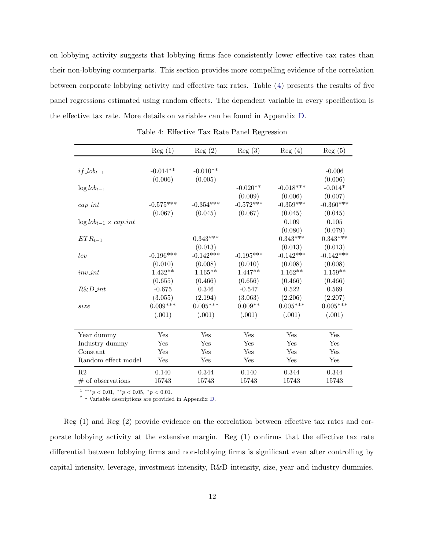<span id="page-11-0"></span>on lobbying activity suggests that lobbying firms face consistently lower effective tax rates than their non-lobbying counterparts. This section provides more compelling evidence of the correlation between corporate lobbying activity and effective tax rates. Table (4) presents the results of five panel regressions estimated using random effects. The dependent variable in every specification is the effective tax rate. More details on variables can be found in Appendix [D](#page-32-0).

|                                        | Reg(1)          | Reg(2)      | Reg(3)      | Reg(4)          | Reg(5)      |
|----------------------------------------|-----------------|-------------|-------------|-----------------|-------------|
|                                        |                 |             |             |                 |             |
| $if\_lob_{t-1}$                        | $-0.014**$      | $-0.010**$  |             |                 | $-0.006$    |
|                                        | (0.006)         | (0.005)     |             |                 | (0.006)     |
| $\log$ lob <sub>t-1</sub>              |                 |             | $-0.020**$  | $-0.018***$     | $-0.014*$   |
|                                        |                 |             | (0.009)     | (0.006)         | (0.007)     |
| $cap\_int$                             | $-0.575***$     | $-0.354***$ | $-0.572***$ | $-0.359***$     | $-0.360***$ |
|                                        | (0.067)         | (0.045)     | (0.067)     | (0.045)         | (0.045)     |
| $\log l \circ b_{t-1} \times cap\_int$ |                 |             |             | 0.109           | 0.105       |
|                                        |                 |             |             | (0.080)         | (0.079)     |
| $ETR_{t-1}$                            |                 | $0.343***$  |             | $0.343***$      | $0.343***$  |
|                                        |                 | (0.013)     |             | (0.013)         | (0.013)     |
| lev                                    | $-0.196***$     | $-0.142***$ | $-0.195***$ | $-0.142***$     | $-0.142***$ |
|                                        | (0.010)         | (0.008)     | (0.010)     | (0.008)         | (0.008)     |
| $inv\_int$                             | $1.432**$       | $1.165***$  | $1.447**$   | $1.162**$       | $1.159**$   |
|                                        | (0.655)         | (0.466)     | (0.656)     | (0.466)         | (0.466)     |
| $R\&D-int$                             | $-0.675$        | 0.346       | $-0.547$    | 0.522           | 0.569       |
|                                        | (3.055)         | (2.194)     | (3.063)     | (2.206)         | (2.207)     |
| size                                   | $0.009^{***}\,$ | $0.005***$  | $0.009**$   | $0.005^{***}\,$ | $0.005***$  |
|                                        | (.001)          | (.001)      | (.001)      | (.001)          | (.001)      |
|                                        |                 |             |             |                 |             |
| Year dummy                             | Yes             | Yes         | Yes         | Yes             | Yes         |
| Industry dummy                         | Yes             | Yes         | Yes         | Yes             | Yes         |
| Constant                               | Yes             | Yes         | Yes         | Yes             | Yes         |
| Random effect model                    | Yes             | Yes         | Yes         | Yes             | Yes         |
| R <sub>2</sub>                         | 0.140           | 0.344       | 0.140       | 0.344           | 0.344       |
| $#$ of observations                    | 15743           | 15743       | 15743       | 15743           | 15743       |

Table 4: Effective Tax Rate Panel Regression

 $1***p<0.01,$   $**p<0.05,$   $*p<0.01$ .

<sup>2</sup> † Variable descriptions are provided in Appendix [D.](#page-32-0)

Reg (1) and Reg (2) provide evidence on the correlation between effective tax rates and corporate lobbying activity at the extensive margin. Reg (1) confirms that the effective tax rate differential between lobbying firms and non-lobbying firms is significant even after controlling by capital intensity, leverage, investment intensity, R&D intensity, size, year and industry dummies.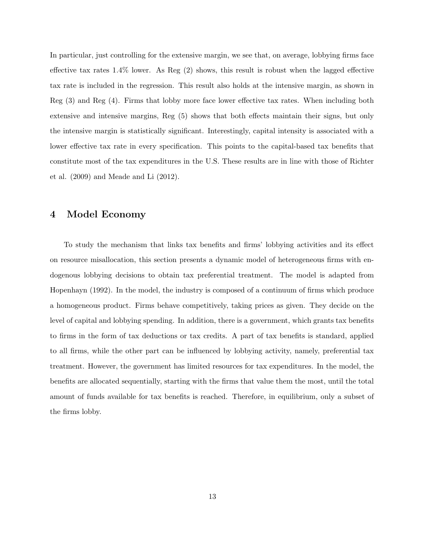<span id="page-12-0"></span>In particular, just controlling for the extensive margin, we see that, on average, lobbying firms face effective tax rates 1.4% lower. As Reg (2) shows, this result is robust when the lagged effective tax rate is included in the regression. This result also holds at the intensive margin, as shown in Reg (3) and Reg (4). Firms that lobby more face lower effective tax rates. When including both extensive and intensive margins, Reg (5) shows that both effects maintain their signs, but only the intensive margin is statistically significant. Interestingly, capital intensity is associated with a lower effective tax rate in every specification. This points to the capital-based tax benefits that constitute most of the tax expenditures in the U.S. These results are in line with those of Richter et al. (2009) and Meade and Li (2012).

## 4 Model Economy

To study the mechanism that links tax benefits and firms' lobbying activities and its effect on resource misallocation, this section presents a dynamic model of heterogeneous firms with endogenous lobbying decisions to obtain tax preferential treatment. The model is adapted from Hopenhayn (1992). In the model, the industry is composed of a continuum of firms which produce a homogeneous product. Firms behave competitively, taking prices as given. They decide on the level of capital and lobbying spending. In addition, there is a government, which grants tax benefits to firms in the form of tax deductions or tax credits. A part of tax benefits is standard, applied to all firms, while the other part can be influenced by lobbying activity, namely, preferential tax treatment. However, the government has limited resources for tax expenditures. In the model, the benefits are allocated sequentially, starting with the firms that value them the most, until the total amount of funds available for tax benefits is reached. Therefore, in equilibrium, only a subset of the firms lobby.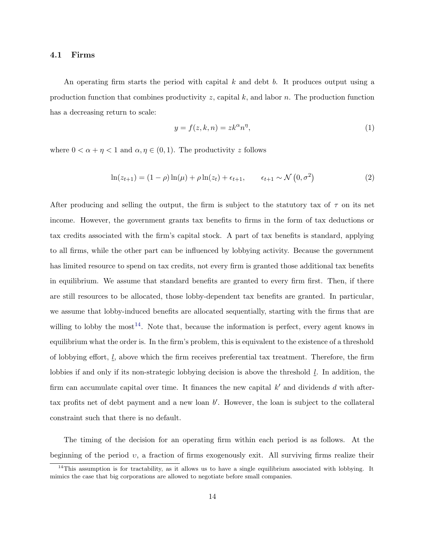#### <span id="page-13-0"></span>4.1 Firms

An operating firm starts the period with capital  $k$  and debt  $b$ . It produces output using a production function that combines productivity  $z$ , capital  $k$ , and labor  $n$ . The production function has a decreasing return to scale:

$$
y = f(z, k, n) = zk^{\alpha}n^{\eta},\tag{1}
$$

where  $0 < \alpha + \eta < 1$  and  $\alpha, \eta \in (0, 1)$ . The productivity z follows

$$
\ln(z_{t+1}) = (1 - \rho) \ln(\mu) + \rho \ln(z_t) + \epsilon_{t+1}, \qquad \epsilon_{t+1} \sim \mathcal{N}(0, \sigma^2)
$$
 (2)

After producing and selling the output, the firm is subject to the statutory tax of  $\tau$  on its net income. However, the government grants tax benefits to firms in the form of tax deductions or tax credits associated with the firm's capital stock. A part of tax benefits is standard, applying to all firms, while the other part can be influenced by lobbying activity. Because the government has limited resource to spend on tax credits, not every firm is granted those additional tax benefits in equilibrium. We assume that standard benefits are granted to every firm first. Then, if there are still resources to be allocated, those lobby-dependent tax benefits are granted. In particular, we assume that lobby-induced benefits are allocated sequentially, starting with the firms that are willing to lobby the most<sup>14</sup>. Note that, because the information is perfect, every agent knows in equilibrium what the order is. In the firm's problem, this is equivalent to the existence of a threshold of lobbying effort,  $l_i$ , above which the firm receives preferential tax treatment. Therefore, the firm lobbies if and only if its non-strategic lobbying decision is above the threshold  $l$ . In addition, the firm can accumulate capital over time. It finances the new capital  $k'$  and dividends d with aftertax profits net of debt payment and a new loan  $b'$ . However, the loan is subject to the collateral constraint such that there is no default.

The timing of the decision for an operating firm within each period is as follows. At the beginning of the period  $v$ , a fraction of firms exogenously exit. All surviving firms realize their

 $14$ This assumption is for tractability, as it allows us to have a single equilibrium associated with lobbying. It mimics the case that big corporations are allowed to negotiate before small companies.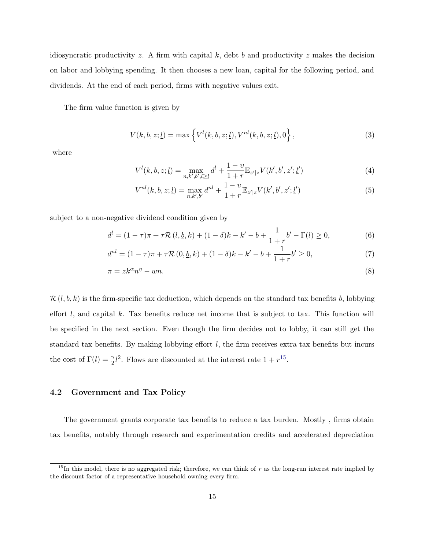<span id="page-14-0"></span>idiosyncratic productivity z. A firm with capital k, debt b and productivity z makes the decision on labor and lobbying spending. It then chooses a new loan, capital for the following period, and dividends. At the end of each period, firms with negative values exit.

The firm value function is given by

$$
V(k, b, z; \underline{l}) = \max \left\{ V^{l}(k, b, z; \underline{l}), V^{nl}(k, b, z; \underline{l}), 0 \right\},
$$
\n(3)

where

$$
V^{l}(k, b, z; \underline{l}) = \max_{n, k', b', l \ge \underline{l}} d^{l} + \frac{1 - \nu}{1 + r} \mathbb{E}_{z'|z} V(k', b', z'; \underline{l}')
$$
(4)

$$
V^{nl}(k, b, z; \underline{l}) = \max_{n, k', b'} d^{nl} + \frac{1 - \nu}{1 + r} \mathbb{E}_{z'|z} V(k', b', z'; \underline{l}')
$$
 (5)

subject to a non-negative dividend condition given by

$$
d^{l} = (1 - \tau)\pi + \tau \mathcal{R}\left(l, \underline{b}, k\right) + (1 - \delta)k - k' - b + \frac{1}{1 + r}b' - \Gamma(l) \ge 0,
$$
\n(6)

$$
d^{nl} = (1 - \tau)\pi + \tau \mathcal{R}(0, \underline{b}, k) + (1 - \delta)k - k' - b + \frac{1}{1 + r}b' \ge 0,
$$
\n(7)

$$
\pi = z k^{\alpha} n^{\eta} - w n. \tag{8}
$$

 $\mathcal{R}(l, \underline{b}, k)$  is the firm-specific tax deduction, which depends on the standard tax benefits  $\underline{b}$ , lobbying effort  $l$ , and capital  $k$ . Tax benefits reduce net income that is subject to tax. This function will be specified in the next section. Even though the firm decides not to lobby, it can still get the standard tax benefits. By making lobbying effort  $l$ , the firm receives extra tax benefits but incurs the cost of  $\Gamma(l) = \frac{\gamma}{2} l^2$ . Flows are discounted at the interest rate  $1 + r^{15}$ .

#### 4.2 Government and Tax Policy

The government grants corporate tax benefits to reduce a tax burden. Mostly , firms obtain tax benefits, notably through research and experimentation credits and accelerated depreciation

 $15$ In this model, there is no aggregated risk; therefore, we can think of r as the long-run interest rate implied by the discount factor of a representative household owning every firm.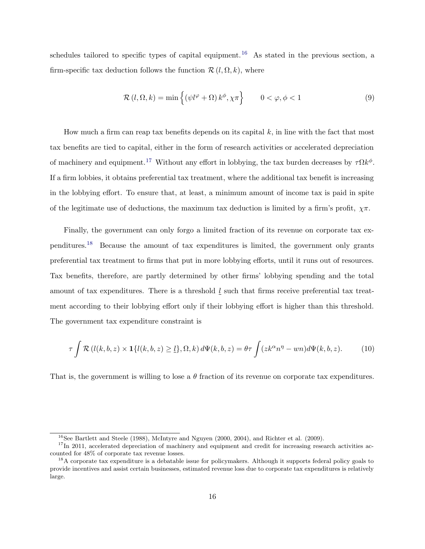<span id="page-15-0"></span>schedules tailored to specific types of capital equipment.<sup>16</sup> As stated in the previous section, a firm-specific tax deduction follows the function  $\mathcal{R} (l, \Omega, k)$ , where

$$
\mathcal{R}\left(l,\Omega,k\right) = \min\left\{ \left(\psi l^{\varphi} + \Omega\right) k^{\phi}, \chi\pi \right\} \qquad 0 < \varphi, \phi < 1 \tag{9}
$$

How much a firm can reap tax benefits depends on its capital  $k$ , in line with the fact that most tax benefits are tied to capital, either in the form of research activities or accelerated depreciation of machinery and equipment.<sup>17</sup> Without any effort in lobbying, the tax burden decreases by  $\tau \Omega k^{\phi}$ . If a firm lobbies, it obtains preferential tax treatment, where the additional tax benefit is increasing in the lobbying effort. To ensure that, at least, a minimum amount of income tax is paid in spite of the legitimate use of deductions, the maximum tax deduction is limited by a firm's profit,  $\chi \pi$ .

Finally, the government can only forgo a limited fraction of its revenue on corporate tax expenditures.<sup>18</sup> Because the amount of tax expenditures is limited, the government only grants preferential tax treatment to firms that put in more lobbying efforts, until it runs out of resources. Tax benefits, therefore, are partly determined by other firms' lobbying spending and the total amount of tax expenditures. There is a threshold  $l$  such that firms receive preferential tax treatment according to their lobbying effort only if their lobbying effort is higher than this threshold. The government tax expenditure constraint is

$$
\tau \int \mathcal{R} \left( l(k, b, z) \times \mathbf{1} \{ l(k, b, z) \ge l \}, \Omega, k \right) d\Psi(k, b, z) = \theta \tau \int (zk^{\alpha} n^{\eta} - wn) d\Psi(k, b, z). \tag{10}
$$

That is, the government is willing to lose a  $\theta$  fraction of its revenue on corporate tax expenditures.

 $16$ See Bartlett and Steele (1988), McIntyre and Nguyen (2000, 2004), and Richter et al. (2009).

 $17$ In 2011, accelerated depreciation of machinery and equipment and credit for increasing research activities accounted for 48% of corporate tax revenue losses.

<sup>&</sup>lt;sup>18</sup>A corporate tax expenditure is a debatable issue for policymakers. Although it supports federal policy goals to provide incentives and assist certain businesses, estimated revenue loss due to corporate tax expenditures is relatively large.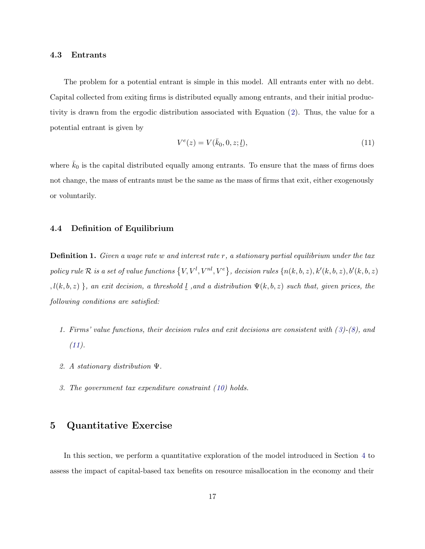#### <span id="page-16-0"></span>4.3 Entrants

The problem for a potential entrant is simple in this model. All entrants enter with no debt. Capital collected from exiting firms is distributed equally among entrants, and their initial productivity is drawn from the ergodic distribution associated with Equation ([2](#page-13-0)). Thus, the value for a potential entrant is given by

$$
V^{e}(z) = V(\bar{k}_0, 0, z; \underline{l}), \qquad (11)
$$

where  $\bar{k}_0$  is the capital distributed equally among entrants. To ensure that the mass of firms does not change, the mass of entrants must be the same as the mass of firms that exit, either exogenously or voluntarily.

#### 4.4 Definition of Equilibrium

**Definition 1.** Given a wage rate w and interest rate  $r$ , a stationary partial equilibrium under the tax  $policy\ rule\ \mathcal{R}\ is\ a\ set\ of\ value\ functions\ \big\{V,V^l,V^{nl},V^{e}\big\},\ decision\ rules\ \{n(k,b,z),k'(k,b,z),b'(k,b,z)\}$ ,  $l(k, b, z)$ }, an exit decision, a threshold <u>l</u>, and a distribution  $\Psi(k, b, z)$  such that, given prices, the following conditions are satisfied:

- 1. Firms' value functions, their decision rules and exit decisions are consistent with ([3](#page-14-0))-([8](#page-14-0)), and  $(11).$
- 2. A stationary distribution Ψ.
- 3. The government tax expenditure constraint ([10\)](#page-15-0) holds.

## 5 Quantitative Exercise

In this section, we perform a quantitative exploration of the model introduced in Section [4](#page-12-0) to assess the impact of capital-based tax benefits on resource misallocation in the economy and their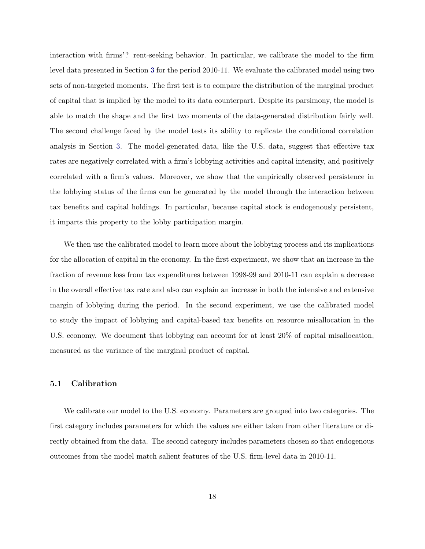interaction with firms'? rent-seeking behavior. In particular, we calibrate the model to the firm level data presented in Section [3](#page-7-0) for the period 2010-11. We evaluate the calibrated model using two sets of non-targeted moments. The first test is to compare the distribution of the marginal product of capital that is implied by the model to its data counterpart. Despite its parsimony, the model is able to match the shape and the first two moments of the data-generated distribution fairly well. The second challenge faced by the model tests its ability to replicate the conditional correlation analysis in Section [3](#page-7-0). The model-generated data, like the U.S. data, suggest that effective tax rates are negatively correlated with a firm's lobbying activities and capital intensity, and positively correlated with a firm's values. Moreover, we show that the empirically observed persistence in the lobbying status of the firms can be generated by the model through the interaction between tax benefits and capital holdings. In particular, because capital stock is endogenously persistent, it imparts this property to the lobby participation margin.

We then use the calibrated model to learn more about the lobbying process and its implications for the allocation of capital in the economy. In the first experiment, we show that an increase in the fraction of revenue loss from tax expenditures between 1998-99 and 2010-11 can explain a decrease in the overall effective tax rate and also can explain an increase in both the intensive and extensive margin of lobbying during the period. In the second experiment, we use the calibrated model to study the impact of lobbying and capital-based tax benefits on resource misallocation in the U.S. economy. We document that lobbying can account for at least 20% of capital misallocation, measured as the variance of the marginal product of capital.

#### 5.1 Calibration

We calibrate our model to the U.S. economy. Parameters are grouped into two categories. The first category includes parameters for which the values are either taken from other literature or directly obtained from the data. The second category includes parameters chosen so that endogenous outcomes from the model match salient features of the U.S. firm-level data in 2010-11.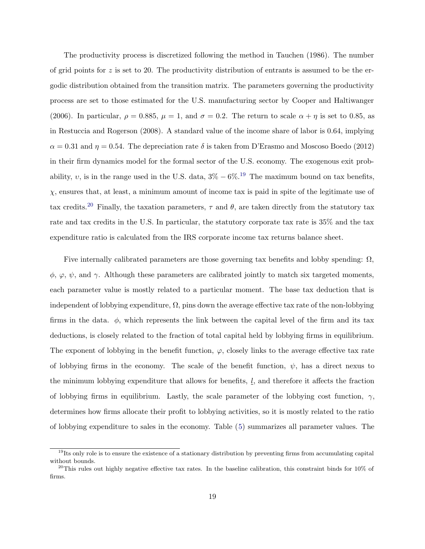The productivity process is discretized following the method in Tauchen (1986). The number of grid points for  $z$  is set to 20. The productivity distribution of entrants is assumed to be the ergodic distribution obtained from the transition matrix. The parameters governing the productivity process are set to those estimated for the U.S. manufacturing sector by Cooper and Haltiwanger (2006). In particular,  $\rho = 0.885$ ,  $\mu = 1$ , and  $\sigma = 0.2$ . The return to scale  $\alpha + \eta$  is set to 0.85, as in Restuccia and Rogerson (2008). A standard value of the income share of labor is 0.64, implying  $\alpha = 0.31$  and  $\eta = 0.54$ . The depreciation rate  $\delta$  is taken from D'Erasmo and Moscoso Boedo (2012) in their firm dynamics model for the formal sector of the U.S. economy. The exogenous exit probability, v, is in the range used in the U.S. data,  $3\% - 6\%$ .<sup>19</sup> The maximum bound on tax benefits,  $\chi$ , ensures that, at least, a minimum amount of income tax is paid in spite of the legitimate use of tax credits.<sup>20</sup> Finally, the taxation parameters,  $\tau$  and  $\theta$ , are taken directly from the statutory tax rate and tax credits in the U.S. In particular, the statutory corporate tax rate is 35% and the tax expenditure ratio is calculated from the IRS corporate income tax returns balance sheet.

Five internally calibrated parameters are those governing tax benefits and lobby spending:  $\Omega$ ,  $\phi$ ,  $\varphi$ ,  $\psi$ , and  $\gamma$ . Although these parameters are calibrated jointly to match six targeted moments, each parameter value is mostly related to a particular moment. The base tax deduction that is independent of lobbying expenditure,  $\Omega$ , pins down the average effective tax rate of the non-lobbying firms in the data.  $\phi$ , which represents the link between the capital level of the firm and its tax deductions, is closely related to the fraction of total capital held by lobbying firms in equilibrium. The exponent of lobbying in the benefit function,  $\varphi$ , closely links to the average effective tax rate of lobbying firms in the economy. The scale of the benefit function,  $\psi$ , has a direct nexus to the minimum lobbying expenditure that allows for benefits,  $l$ , and therefore it affects the fraction of lobbying firms in equilibrium. Lastly, the scale parameter of the lobbying cost function,  $\gamma$ , determines how firms allocate their profit to lobbying activities, so it is mostly related to the ratio of lobbying expenditure to sales in the economy. Table ([5](#page-19-0)) summarizes all parameter values. The

<sup>&</sup>lt;sup>19</sup>Its only role is to ensure the existence of a stationary distribution by preventing firms from accumulating capital without bounds.

 $^{20}$ This rules out highly negative effective tax rates. In the baseline calibration, this constraint binds for 10% of firms.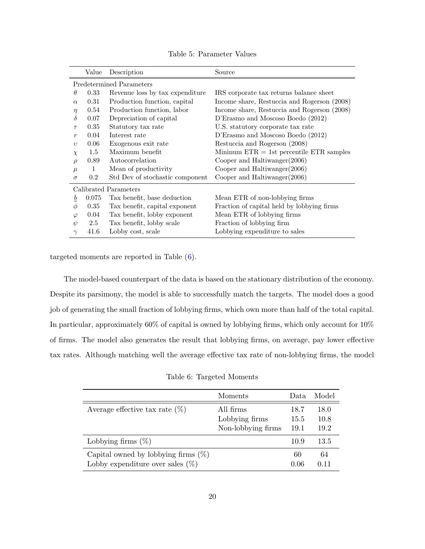<span id="page-19-0"></span>

|                  | Value        | Description                     | Source                                       |
|------------------|--------------|---------------------------------|----------------------------------------------|
|                  |              | Predetermined Parameters        |                                              |
| $\theta$         | 0.33         | Revenue loss by tax expenditure | IRS corporate tax returns balance sheet      |
| $\alpha$         | 0.31         | Production function, capital    | Income share, Restuccia and Rogerson (2008)  |
| $\eta$           | 0.54         | Production function, labor      | Income share, Restuccia and Rogerson (2008)  |
| δ                | 0.07         | Depreciation of capital         | D'Erasmo and Moscoso Boedo (2012)            |
| $\tau$           | 0.35         | Statutory tax rate              | U.S. statutory corporate tax rate            |
| $\boldsymbol{r}$ | 0.04         | Interest rate                   | D'Erasmo and Moscoso Boedo (2012)            |
| $\eta$           | 0.06         | Exogenous exit rate             | Restuccia and Rogerson (2008)                |
| $\chi$           | 1.5          | Maximum benefit                 | Mininum $ETR = 1st$ percentile $ETR$ samples |
| $\rho$           | 0.89         | Autocorrelation                 | Cooper and Haltiwanger $(2006)$              |
| $\mu$            | $\mathbf{1}$ | Mean of productivity            | Cooper and Haltiwanger $(2006)$              |
| $\sigma$         | 0.2          | Std Dev of stochastic component | Cooper and Haltiwanger (2006)                |
|                  |              | Calibrated Parameters           |                                              |
| b                | 0.075        | Tax benefit, base deduction     | Mean ETR of non-lobbying firms               |
| $\phi$           | 0.35         | Tax benefit, capital exponent   | Fraction of capital held by lobbying firms   |
| $\varphi$        | 0.04         | Tax benefit, lobby exponent     | Mean ETR of lobbying firms                   |
| $\psi$           | 2.5          | Tax benefit, lobby scale        | Fraction of lobbying firm                    |
| $\gamma$         | 41.6         | Lobby cost, scale               | Lobbying expenditure to sales                |

Table 5: Parameter Values

targeted moments are reported in Table (6).

The model-based counterpart of the data is based on the stationary distribution of the economy. Despite its parsimony, the model is able to successfully match the targets. The model does a good job of generating the small fraction of lobbying firms, which own more than half of the total capital. In particular, approximately 60% of capital is owned by lobbying firms, which only account for 10% of firms. The model also generates the result that lobbying firms, on average, pay lower effective tax rates. Although matching well the average effective tax rate of non-lobbying firms, the model

| Table 6: Targeted Moments |
|---------------------------|
|---------------------------|

|                                        | Moments            | Data | Model |
|----------------------------------------|--------------------|------|-------|
| Average effective tax rate $(\%)$      | All firms          | 18.7 | 18.0  |
|                                        | Lobbying firms     | 15.5 | 10.8  |
|                                        | Non-lobbying firms | 19.1 | 19.2  |
| Lobbying firms $(\%)$                  |                    | 10.9 | 13.5  |
| Capital owned by lobbying firms $(\%)$ |                    | 60   | 64    |
| Lobby expenditure over sales $(\%)$    |                    | 0.06 | 0.11  |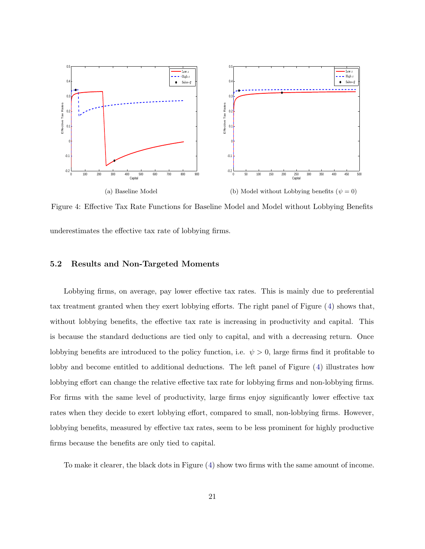<span id="page-20-0"></span>

Figure 4: Effective Tax Rate Functions for Baseline Model and Model without Lobbying Benefits underestimates the effective tax rate of lobbying firms.

#### 5.2 Results and Non-Targeted Moments

Lobbying firms, on average, pay lower effective tax rates. This is mainly due to preferential tax treatment granted when they exert lobbying efforts. The right panel of Figure (4) shows that, without lobbying benefits, the effective tax rate is increasing in productivity and capital. This is because the standard deductions are tied only to capital, and with a decreasing return. Once lobbying benefits are introduced to the policy function, i.e.  $\psi > 0$ , large firms find it profitable to lobby and become entitled to additional deductions. The left panel of Figure (4) illustrates how lobbying effort can change the relative effective tax rate for lobbying firms and non-lobbying firms. For firms with the same level of productivity, large firms enjoy significantly lower effective tax rates when they decide to exert lobbying effort, compared to small, non-lobbying firms. However, lobbying benefits, measured by effective tax rates, seem to be less prominent for highly productive firms because the benefits are only tied to capital.

To make it clearer, the black dots in Figure (4) show two firms with the same amount of income.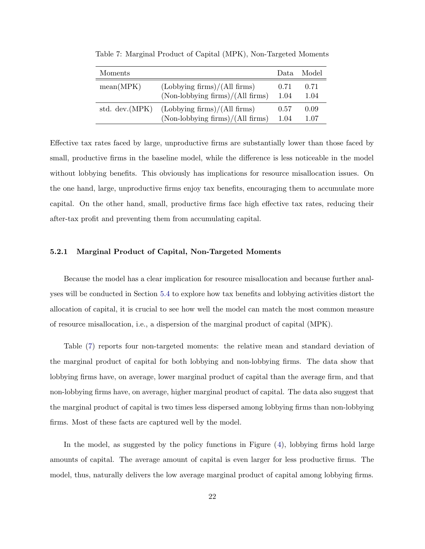| Moments         |                                    | Data | Model |
|-----------------|------------------------------------|------|-------|
| mean(MPK)       | (Lobbying firms)/(All firms)       | 0.71 | 0.71  |
|                 | $(Non-lobbying firms)/(All firms)$ | 1.04 | 1.04  |
| std. dev. (MPK) | (Lobbying firms)/(All firms)       | 0.57 | 0.09  |
|                 | $(Non-lobbying firms)/(All firms)$ | 1.04 | 1.07  |

Table 7: Marginal Product of Capital (MPK), Non-Targeted Moments

Effective tax rates faced by large, unproductive firms are substantially lower than those faced by small, productive firms in the baseline model, while the difference is less noticeable in the model without lobbying benefits. This obviously has implications for resource misallocation issues. On the one hand, large, unproductive firms enjoy tax benefits, encouraging them to accumulate more capital. On the other hand, small, productive firms face high effective tax rates, reducing their after-tax profit and preventing them from accumulating capital.

#### 5.2.1 Marginal Product of Capital, Non-Targeted Moments

Because the model has a clear implication for resource misallocation and because further analyses will be conducted in Section [5.4](#page-25-0) to explore how tax benefits and lobbying activities distort the allocation of capital, it is crucial to see how well the model can match the most common measure of resource misallocation, i.e., a dispersion of the marginal product of capital (MPK).

Table (7) reports four non-targeted moments: the relative mean and standard deviation of the marginal product of capital for both lobbying and non-lobbying firms. The data show that lobbying firms have, on average, lower marginal product of capital than the average firm, and that non-lobbying firms have, on average, higher marginal product of capital. The data also suggest that the marginal product of capital is two times less dispersed among lobbying firms than non-lobbying firms. Most of these facts are captured well by the model.

In the model, as suggested by the policy functions in Figure ([4](#page-20-0)), lobbying firms hold large amounts of capital. The average amount of capital is even larger for less productive firms. The model, thus, naturally delivers the low average marginal product of capital among lobbying firms.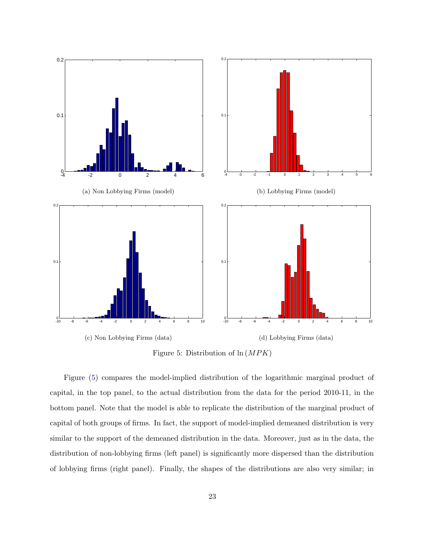

Figure 5: Distribution of  $\ln(MPK)$ 

Figure (5) compares the model-implied distribution of the logarithmic marginal product of capital, in the top panel, to the actual distribution from the data for the period 2010-11, in the bottom panel. Note that the model is able to replicate the distribution of the marginal product of capital of both groups of firms. In fact, the support of model-implied demeaned distribution is very similar to the support of the demeaned distribution in the data. Moreover, just as in the data, the distribution of non-lobbying firms (left panel) is significantly more dispersed than the distribution of lobbying firms (right panel). Finally, the shapes of the distributions are also very similar; in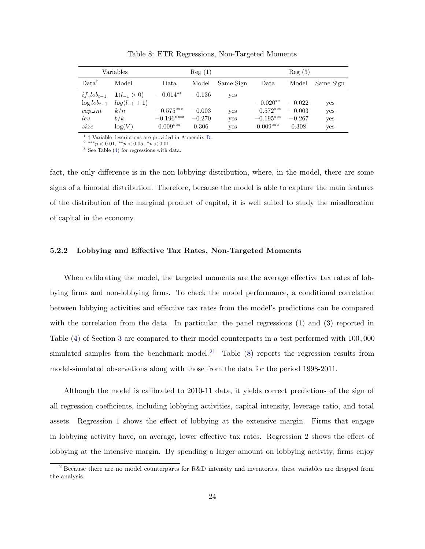| Variables         |                   | Reg(1)      |          |           | Reg(3)      |          |           |  |
|-------------------|-------------------|-------------|----------|-----------|-------------|----------|-----------|--|
| Data <sup>T</sup> | Model             | Data        | Model    | Same Sign | Data        | Model    | Same Sign |  |
| $if\_lob_{t-1}$   | $1(l_{-1}>0)$     | $-0.014**$  | $-0.136$ | yes       |             |          |           |  |
| $\log$ $\ell$     | $log(l_{-1} + 1)$ |             |          |           | $-0.020**$  | $-0.022$ | yes       |  |
| $cap\_int$        | k/n               | $-0.575***$ | $-0.003$ | yes       | $-0.572***$ | $-0.003$ | yes       |  |
| lev               | b/k               | $-0.196***$ | $-0.270$ | yes       | $-0.195***$ | $-0.267$ | yes       |  |
| size              | log(V)            | $0.009***$  | 0.306    | yes       | $0.009***$  | 0.308    | yes       |  |

Table 8: ETR Regressions, Non-Targeted Moments

<sup>1</sup> † Variable descriptions are provided in Appendix [D](#page-32-0). <sup>2</sup> <sup>∗∗∗</sup>p < 0.01, <sup>∗</sup>p < 0.05, <sup>∗</sup>p < 0.01.

<sup>3</sup> See Table [\(4](#page-11-0)) for regressions with data.

fact, the only difference is in the non-lobbying distribution, where, in the model, there are some signs of a bimodal distribution. Therefore, because the model is able to capture the main features of the distribution of the marginal product of capital, it is well suited to study the misallocation of capital in the economy.

#### 5.2.2 Lobbying and Effective Tax Rates, Non-Targeted Moments

When calibrating the model, the targeted moments are the average effective tax rates of lobbying firms and non-lobbying firms. To check the model performance, a conditional correlation between lobbying activities and effective tax rates from the model's predictions can be compared with the correlation from the data. In particular, the panel regressions (1) and (3) reported in Table [\(4\)](#page-11-0) of Section [3](#page-7-0) are compared to their model counterparts in a test performed with 100, 000 simulated samples from the benchmark model.<sup>21</sup> Table  $(8)$  reports the regression results from model-simulated observations along with those from the data for the period 1998-2011.

Although the model is calibrated to 2010-11 data, it yields correct predictions of the sign of all regression coefficients, including lobbying activities, capital intensity, leverage ratio, and total assets. Regression 1 shows the effect of lobbying at the extensive margin. Firms that engage in lobbying activity have, on average, lower effective tax rates. Regression 2 shows the effect of lobbying at the intensive margin. By spending a larger amount on lobbying activity, firms enjoy

<sup>&</sup>lt;sup>21</sup> Because there are no model counterparts for R&D intensity and inventories, these variables are dropped from the analysis.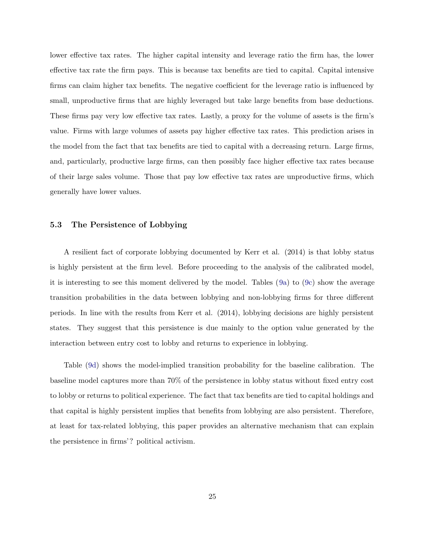lower effective tax rates. The higher capital intensity and leverage ratio the firm has, the lower effective tax rate the firm pays. This is because tax benefits are tied to capital. Capital intensive firms can claim higher tax benefits. The negative coefficient for the leverage ratio is influenced by small, unproductive firms that are highly leveraged but take large benefits from base deductions. These firms pay very low effective tax rates. Lastly, a proxy for the volume of assets is the firm's value. Firms with large volumes of assets pay higher effective tax rates. This prediction arises in the model from the fact that tax benefits are tied to capital with a decreasing return. Large firms, and, particularly, productive large firms, can then possibly face higher effective tax rates because of their large sales volume. Those that pay low effective tax rates are unproductive firms, which generally have lower values.

#### 5.3 The Persistence of Lobbying

A resilient fact of corporate lobbying documented by Kerr et al. (2014) is that lobby status is highly persistent at the firm level. Before proceeding to the analysis of the calibrated model, it is interesting to see this moment delivered by the model. Tables ([9a](#page-25-0)) to [\(9c\)](#page-25-0) show the average transition probabilities in the data between lobbying and non-lobbying firms for three different periods. In line with the results from Kerr et al. (2014), lobbying decisions are highly persistent states. They suggest that this persistence is due mainly to the option value generated by the interaction between entry cost to lobby and returns to experience in lobbying.

Table [\(9d\)](#page-25-0) shows the model-implied transition probability for the baseline calibration. The baseline model captures more than 70% of the persistence in lobby status without fixed entry cost to lobby or returns to political experience. The fact that tax benefits are tied to capital holdings and that capital is highly persistent implies that benefits from lobbying are also persistent. Therefore, at least for tax-related lobbying, this paper provides an alternative mechanism that can explain the persistence in firms'? political activism.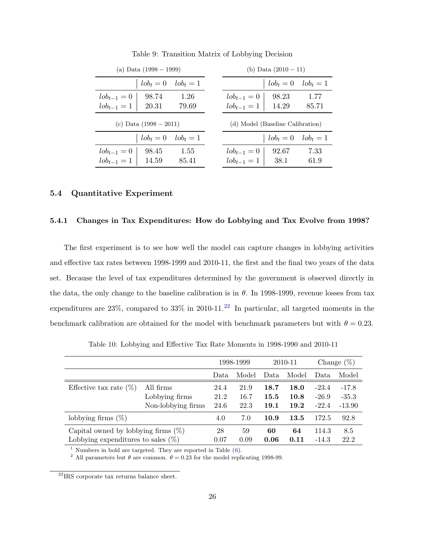<span id="page-25-0"></span>

|                                  | (a) Data (1998 – 1999)                    |               |  | (b) Data $(2010 - 11)$                      |                 |               |  |  |
|----------------------------------|-------------------------------------------|---------------|--|---------------------------------------------|-----------------|---------------|--|--|
|                                  | $lob_t=0$                                 | $lob_t = 1$   |  |                                             | $\iota b_t = 0$ | $lob_t = 1$   |  |  |
| $lob_{t-1}=0$<br>$lob_{t-1} = 1$ | 98.74<br>20.31                            | 1.26<br>79.69 |  | $\ell \circ b_{t-1} = 0$<br>$lob_{t-1} = 1$ | 98.23<br>14.29  | 1.77<br>85.71 |  |  |
| (c) Data $(1998 - 2011)$         |                                           |               |  | (d) Model (Baseline Calibration)            |                 |               |  |  |
|                                  | $\ell \circ b_t = 0$ $\ell \circ b_t = 1$ |               |  |                                             | $\iota b_t = 0$ | $lob_t = 1$   |  |  |
| $lob_{t-1}=0$<br>$lob_{t-1}=1$   | 98.45<br>14.59                            | 1.55<br>85.41 |  | $\ell \circ b_{t-1} = 0$<br>$lob_{t-1} = 1$ | 92.67<br>38.1   | 7.33<br>61.9  |  |  |

Table 9: Transition Matrix of Lobbying Decision

#### 5.4 Quantitative Experiment

#### 5.4.1 Changes in Tax Expenditures: How do Lobbying and Tax Evolve from 1998?

The first experiment is to see how well the model can capture changes in lobbying activities and effective tax rates between 1998-1999 and 2010-11, the first and the final two years of the data set. Because the level of tax expenditures determined by the government is observed directly in the data, the only change to the baseline calibration is in  $\theta$ . In 1998-1999, revenue losses from tax expenditures are  $23\%$ , compared to  $33\%$  in 2010-11.<sup>22</sup> In particular, all targeted moments in the benchmark calibration are obtained for the model with benchmark parameters but with  $\theta = 0.23$ .

Table 10: Lobbying and Effective Tax Rate Moments in 1998-1990 and 2010-11

|                                        |                    | 1998-1999 |       | 2010-11 |       |         | Change $(\%)$ |
|----------------------------------------|--------------------|-----------|-------|---------|-------|---------|---------------|
|                                        |                    | Data      | Model | Data    | Model | Data    | Model         |
| Effective tax rate $(\%)$              | All firms          | 24.4      | 21.9  | 18.7    | 18.0  | $-23.4$ | $-17.8$       |
|                                        | Lobbying firms     | 21.2      | 16.7  | 15.5    | 10.8  | $-26.9$ | $-35.3$       |
|                                        | Non-lobbying firms | 24.6      | 22.3  | 19.1    | 19.2  | $-22.4$ | $-13.90$      |
| lobbying firms $(\%)$                  |                    | 4.0       | 7.0   | 10.9    | 13.5  | 172.5   | 92.8          |
| Capital owned by lobbying firms $(\%)$ |                    | 28        | 59    | 60      | 64    | 114.3   | 8.5           |
| Lobbying expenditures to sales $(\%)$  |                    | 0.07      | 0.09  | 0.06    | 0.11  | $-14.3$ | 22.2          |

<sup>1</sup> Numbers in bold are targeted. They are reported in Table  $(6)$  $(6)$  $(6)$ .

<sup>2</sup> All parameters but  $\theta$  are common.  $\theta = 0.23$  for the model replicating 1998-99.

<sup>22</sup>IRS corporate tax returns balance sheet.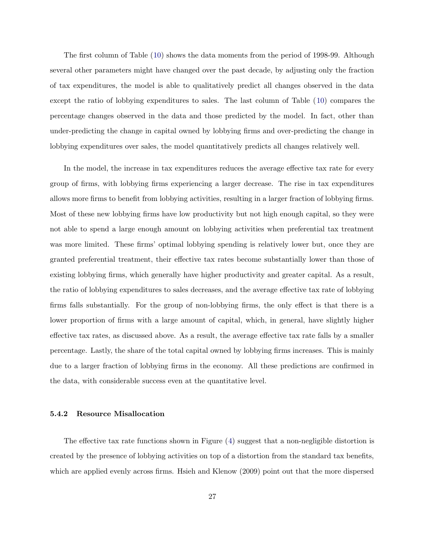The first column of Table ([10](#page-25-0)) shows the data moments from the period of 1998-99. Although several other parameters might have changed over the past decade, by adjusting only the fraction of tax expenditures, the model is able to qualitatively predict all changes observed in the data except the ratio of lobbying expenditures to sales. The last column of Table ([10](#page-25-0)) compares the percentage changes observed in the data and those predicted by the model. In fact, other than under-predicting the change in capital owned by lobbying firms and over-predicting the change in lobbying expenditures over sales, the model quantitatively predicts all changes relatively well.

In the model, the increase in tax expenditures reduces the average effective tax rate for every group of firms, with lobbying firms experiencing a larger decrease. The rise in tax expenditures allows more firms to benefit from lobbying activities, resulting in a larger fraction of lobbying firms. Most of these new lobbying firms have low productivity but not high enough capital, so they were not able to spend a large enough amount on lobbying activities when preferential tax treatment was more limited. These firms' optimal lobbying spending is relatively lower but, once they are granted preferential treatment, their effective tax rates become substantially lower than those of existing lobbying firms, which generally have higher productivity and greater capital. As a result, the ratio of lobbying expenditures to sales decreases, and the average effective tax rate of lobbying firms falls substantially. For the group of non-lobbying firms, the only effect is that there is a lower proportion of firms with a large amount of capital, which, in general, have slightly higher effective tax rates, as discussed above. As a result, the average effective tax rate falls by a smaller percentage. Lastly, the share of the total capital owned by lobbying firms increases. This is mainly due to a larger fraction of lobbying firms in the economy. All these predictions are confirmed in the data, with considerable success even at the quantitative level.

#### 5.4.2 Resource Misallocation

The effective tax rate functions shown in Figure ([4\)](#page-20-0) suggest that a non-negligible distortion is created by the presence of lobbying activities on top of a distortion from the standard tax benefits, which are applied evenly across firms. Hsieh and Klenow (2009) point out that the more dispersed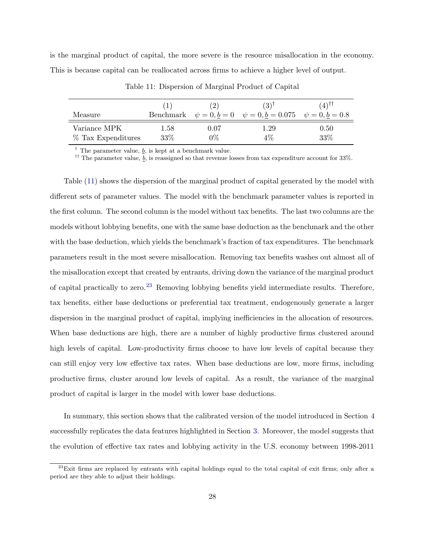is the marginal product of capital, the more severe is the resource misallocation in the economy. This is because capital can be reallocated across firms to achieve a higher level of output.

| Measure            |      | $\left(2\right)$ | $(3)^{\dagger}$<br>Benchmark $\psi = 0, b = 0$ $\psi = 0, b = 0.075$ $\psi = 0, b = 0.8$ | $(4)$ II |
|--------------------|------|------------------|------------------------------------------------------------------------------------------|----------|
| Variance MPK       | 1.58 | $0.07\,$         | $1.29\,$                                                                                 | 0.50     |
| % Tax Expenditures | 33%  | $0\%$            | $4\%$                                                                                    | 33%      |

Table 11: Dispersion of Marginal Product of Capital

<sup>†</sup> The parameter value,  $\underline{b}$ , is kept at a benchmark value.

<sup>††</sup> The parameter value,  $\underline{b}$ , is reassigned so that revenue losses from tax expenditure account for 33%.

Table (11) shows the dispersion of the marginal product of capital generated by the model with different sets of parameter values. The model with the benchmark parameter values is reported in the first column. The second column is the model without tax benefits. The last two columns are the models without lobbying benefits, one with the same base deduction as the benchmark and the other with the base deduction, which yields the benchmark's fraction of tax expenditures. The benchmark parameters result in the most severe misallocation. Removing tax benefits washes out almost all of the misallocation except that created by entrants, driving down the variance of the marginal product of capital practically to zero.<sup>23</sup> Removing lobbying benefits yield intermediate results. Therefore, tax benefits, either base deductions or preferential tax treatment, endogenously generate a larger dispersion in the marginal product of capital, implying inefficiencies in the allocation of resources. When base deductions are high, there are a number of highly productive firms clustered around high levels of capital. Low-productivity firms choose to have low levels of capital because they can still enjoy very low effective tax rates. When base deductions are low, more firms, including productive firms, cluster around low levels of capital. As a result, the variance of the marginal product of capital is larger in the model with lower base deductions.

In summary, this section shows that the calibrated version of the model introduced in Section [4](#page-12-0) successfully replicates the data features highlighted in Section [3](#page-7-0). Moreover, the model suggests that the evolution of effective tax rates and lobbying activity in the U.S. economy between 1998-2011

 $^{23}$ Exit firms are replaced by entrants with capital holdings equal to the total capital of exit firms; only after a period are they able to adjust their holdings.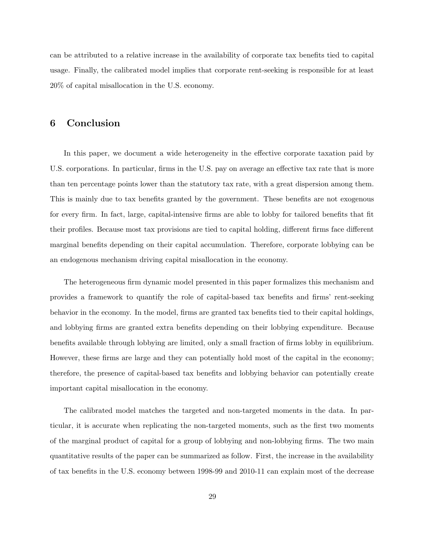<span id="page-28-0"></span>can be attributed to a relative increase in the availability of corporate tax benefits tied to capital usage. Finally, the calibrated model implies that corporate rent-seeking is responsible for at least 20% of capital misallocation in the U.S. economy.

# 6 Conclusion

In this paper, we document a wide heterogeneity in the effective corporate taxation paid by U.S. corporations. In particular, firms in the U.S. pay on average an effective tax rate that is more than ten percentage points lower than the statutory tax rate, with a great dispersion among them. This is mainly due to tax benefits granted by the government. These benefits are not exogenous for every firm. In fact, large, capital-intensive firms are able to lobby for tailored benefits that fit their profiles. Because most tax provisions are tied to capital holding, different firms face different marginal benefits depending on their capital accumulation. Therefore, corporate lobbying can be an endogenous mechanism driving capital misallocation in the economy.

The heterogeneous firm dynamic model presented in this paper formalizes this mechanism and provides a framework to quantify the role of capital-based tax benefits and firms' rent-seeking behavior in the economy. In the model, firms are granted tax benefits tied to their capital holdings, and lobbying firms are granted extra benefits depending on their lobbying expenditure. Because benefits available through lobbying are limited, only a small fraction of firms lobby in equilibrium. However, these firms are large and they can potentially hold most of the capital in the economy; therefore, the presence of capital-based tax benefits and lobbying behavior can potentially create important capital misallocation in the economy.

The calibrated model matches the targeted and non-targeted moments in the data. In particular, it is accurate when replicating the non-targeted moments, such as the first two moments of the marginal product of capital for a group of lobbying and non-lobbying firms. The two main quantitative results of the paper can be summarized as follow. First, the increase in the availability of tax benefits in the U.S. economy between 1998-99 and 2010-11 can explain most of the decrease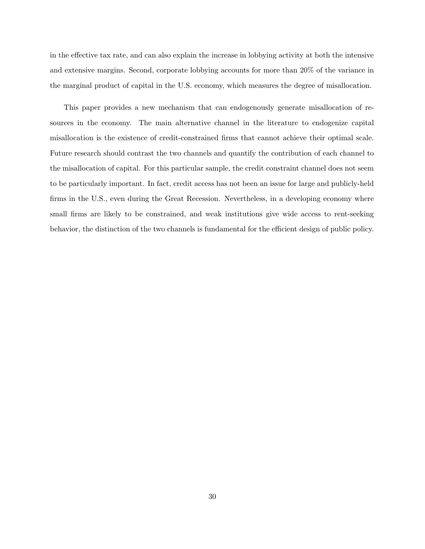in the effective tax rate, and can also explain the increase in lobbying activity at both the intensive and extensive margins. Second, corporate lobbying accounts for more than 20% of the variance in the marginal product of capital in the U.S. economy, which measures the degree of misallocation.

This paper provides a new mechanism that can endogenously generate misallocation of resources in the economy. The main alternative channel in the literature to endogenize capital misallocation is the existence of credit-constrained firms that cannot achieve their optimal scale. Future research should contrast the two channels and quantify the contribution of each channel to the misallocation of capital. For this particular sample, the credit constraint channel does not seem to be particularly important. In fact, credit access has not been an issue for large and publicly-held firms in the U.S., even during the Great Recession. Nevertheless, in a developing economy where small firms are likely to be constrained, and weak institutions give wide access to rent-seeking behavior, the distinction of the two channels is fundamental for the efficient design of public policy.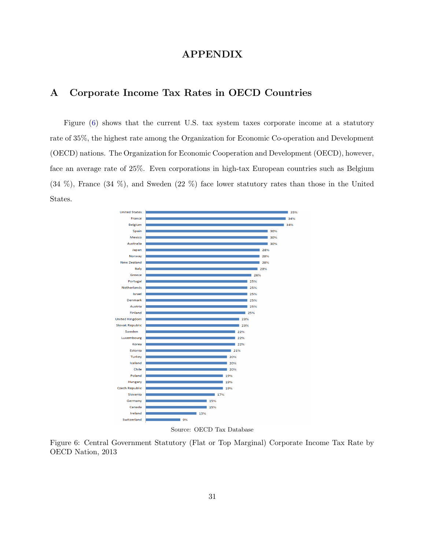# APPENDIX

# <span id="page-30-0"></span>A Corporate Income Tax Rates in OECD Countries

Figure (6) shows that the current U.S. tax system taxes corporate income at a statutory rate of 35%, the highest rate among the Organization for Economic Co-operation and Development (OECD) nations. The Organization for Economic Cooperation and Development (OECD), however, face an average rate of 25%. Even corporations in high-tax European countries such as Belgium (34 %), France (34 %), and Sweden (22 %) face lower statutory rates than those in the United States.



Source: OECD Tax Database

Figure 6: Central Government Statutory (Flat or Top Marginal) Corporate Income Tax Rate by OECD Nation, 2013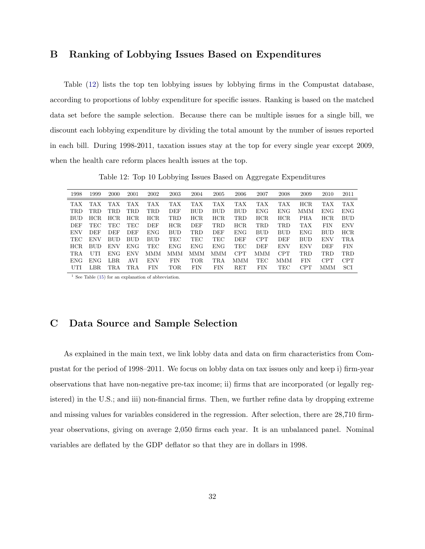# <span id="page-31-0"></span>B Ranking of Lobbying Issues Based on Expenditures

Table (12) lists the top ten lobbying issues by lobbying firms in the Compustat database, according to proportions of lobby expenditure for specific issues. Ranking is based on the matched data set before the sample selection. Because there can be multiple issues for a single bill, we discount each lobbying expenditure by dividing the total amount by the number of issues reported in each bill. During 1998-2011, taxation issues stay at the top for every single year except 2009, when the health care reform places health issues at the top.

Table 12: Top 10 Lobbying Issues Based on Aggregate Expenditures

| 1998       | 1999       | 2000       | 2001       | 2002       | 2003       | 2004       | 2005       | 2006       | 2007       | 2008       | 2009       | 2010       | 2011       |
|------------|------------|------------|------------|------------|------------|------------|------------|------------|------------|------------|------------|------------|------------|
| <b>TAX</b> | <b>TAX</b> | TAX.       | <b>TAX</b> | <b>TAX</b> | <b>TAX</b> | <b>TAX</b> | <b>TAX</b> | <b>TAX</b> | TAX        | TAX        | HCR        | <b>TAX</b> | <b>TAX</b> |
| <b>TRD</b> | TRD        | TRD        | TRD        | TRD        | DEF        | <b>BUD</b> | <b>BUD</b> | <b>BUD</b> | ENG.       | ENG.       | MMM        | <b>ENG</b> | <b>ENG</b> |
| <b>BUD</b> | HCR.       | HCR.       | HCR.       | HCR.       | TRD        | HCR        | HCR.       | TRD        | <b>HCR</b> | HCR        | <b>PHA</b> | HCR.       | <b>BUD</b> |
| DEF        | TEC        | TEC        | TEC        | DEF        | HCR        | <b>DEF</b> | TRD        | HCR.       | TRD        | TRD        | TAX        | <b>FIN</b> | <b>ENV</b> |
| <b>ENV</b> | DEF        | DEF        | DEF        | <b>ENG</b> | <b>BUD</b> | TRD.       | DEF        | <b>ENG</b> | <b>BUD</b> | <b>BUD</b> | <b>ENG</b> | <b>BUD</b> | <b>HCR</b> |
| TEC        | <b>ENV</b> | <b>BUD</b> | <b>BUD</b> | <b>BUD</b> | TEC        | TEC        | TEC        | DEF        | <b>CPT</b> | DEF        | <b>BUD</b> | ENV        | TRA        |
| HCR.       | <b>BUD</b> | <b>ENV</b> | <b>ENG</b> | TEC        | <b>ENG</b> | <b>ENG</b> | <b>ENG</b> | <b>TEC</b> | <b>DEF</b> | <b>ENV</b> | <b>ENV</b> | DEF        | <b>FIN</b> |
| <b>TRA</b> | UTI        | ENG-       | <b>ENV</b> | MMM        | MMM        | MMM        | <b>MMM</b> | <b>CPT</b> | MMM        | <b>CPT</b> | TRD        | TRD        | <b>TRD</b> |
| <b>ENG</b> | <b>ENG</b> | LBR.       | AVI        | <b>ENV</b> | <b>FIN</b> | TOR        | TRA        | MMM        | TEC        | MMM        | <b>FIN</b> | <b>CPT</b> | <b>CPT</b> |
| UTI        | LBR.       | TRA        | TRA        | FIN        | <b>TOR</b> | FIN        | FIN        | RET        | FIN        | TEC        | <b>CPT</b> | MMM        | SCI        |
|            |            |            |            |            |            |            |            |            |            |            |            |            |            |

<sup>1</sup> See Table ([15\)](#page-34-0) for an explanation of abbreviation.

# C Data Source and Sample Selection

As explained in the main text, we link lobby data and data on firm characteristics from Compustat for the period of 1998–2011. We focus on lobby data on tax issues only and keep i) firm-year observations that have non-negative pre-tax income; ii) firms that are incorporated (or legally registered) in the U.S.; and iii) non-financial firms. Then, we further refine data by dropping extreme and missing values for variables considered in the regression. After selection, there are 28,710 firmyear observations, giving on average 2,050 firms each year. It is an unbalanced panel. Nominal variables are deflated by the GDP deflator so that they are in dollars in 1998.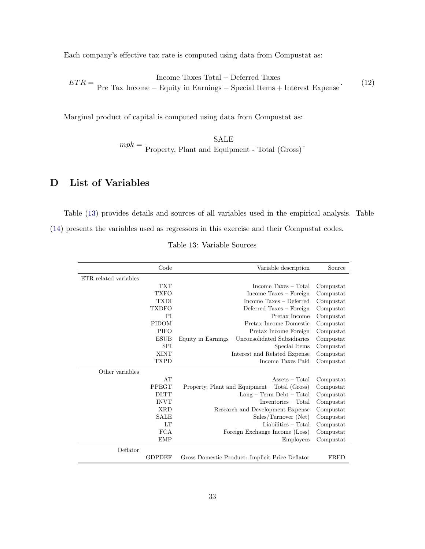<span id="page-32-0"></span>Each company's effective tax rate is computed using data from Compustat as:

$$
ETR = \frac{\text{Income Taxes Total} - \text{Deferred Taxes}}{\text{Pre Tax Income} - \text{Equity in Earnings} - \text{Special items} + \text{Interest Expression}}.
$$
 (12)

Marginal product of capital is computed using data from Compustat as:

 $mpk = \frac{\text{SALE}}{\text{Property, Plant and Equipment - Total (Gross)}}.$ 

# D List of Variables

Table (13) provides details and sources of all variables used in the empirical analysis. Table [\(14](#page-33-0)) presents the variables used as regressors in this exercise and their Compustat codes.

|                       | Code         | Variable description                             | Source    |
|-----------------------|--------------|--------------------------------------------------|-----------|
| ETR related variables |              |                                                  |           |
|                       | <b>TXT</b>   | Income $Taxes - Total$                           | Compustat |
|                       | <b>TXFO</b>  | Income Taxes - Foreign                           | Compustat |
|                       | <b>TXDI</b>  | Income Taxes - Deferred                          | Compustat |
|                       | <b>TXDFO</b> | Deferred Taxes - Foreign                         | Compustat |
|                       | PI           | Pretax Income                                    | Compustat |
|                       | <b>PIDOM</b> | Pretax Income Domestic                           | Compustat |
|                       | <b>PIFO</b>  | Pretax Income Foreign                            | Compustat |
|                       | <b>ESUB</b>  | Equity in Earnings – Unconsolidated Subsidiaries | Compustat |
|                       | <b>SPI</b>   | Special Items                                    | Compustat |
|                       | <b>XINT</b>  | Interest and Related Expense                     | Compustat |
|                       | <b>TXPD</b>  | Income Taxes Paid                                | Compustat |
| Other variables       |              |                                                  |           |
|                       | AT           | $\text{Assets} - \text{Total}$                   | Compustat |
|                       | <b>PPEGT</b> | Property, Plant and Equipment – Total (Gross)    | Compustat |
|                       | <b>DLTT</b>  | $Long - Term \nDet - Total$                      | Compustat |
|                       | <b>INVT</b>  | $Inventories-Total$                              | Compustat |
|                       | <b>XRD</b>   | Research and Development Expense                 | Compustat |
|                       | <b>SALE</b>  | Sales/Turnover (Net)                             | Compustat |
|                       | LТ           | $Liabilities - Total$                            | Compustat |
|                       | <b>FCA</b>   | Foreign Exchange Income (Loss)                   | Compustat |
|                       | <b>EMP</b>   | Employees                                        | Compustat |
| Deflator              |              |                                                  |           |
|                       | GDPDEF       | Gross Domestic Product: Implicit Price Deflator  | FRED      |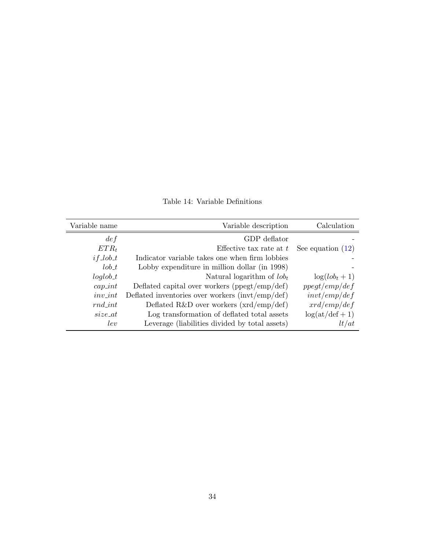<span id="page-33-0"></span>

| Variable name | Variable description                                                         | Calculation         |
|---------------|------------------------------------------------------------------------------|---------------------|
| def           | GDP deflator                                                                 |                     |
| $ETR_t$       | Effective tax rate at $t$                                                    | See equation $(12)$ |
| $if\_lob_t$   | Indicator variable takes one when firm lobbies                               |                     |
| $\ell$ ob_t   | Lobby expenditure in million dollar (in 1998)                                |                     |
| $loglob_t$    | Natural logarithm of $\ell_{obj}$                                            | $\log(lob_t+1)$     |
| $cap\_int$    | Deflated capital over workers ( $\text{ppegt}/\text{emp}/\text{def}$ )       | ppegt/emp/def       |
| $inv\_int$    | Deflated inventories over workers $\frac{\text{invt}}{\text{emp}}\text{def}$ | invt/emp/def        |
| $rnd\_int$    | Deflated R&D over workers $(xrd/emp/def)$                                    | xrd/emp/def         |
| size at       | Log transformation of deflated total assets                                  | $log(at/def + 1)$   |
| lev           | Leverage (liabilities divided by total assets)                               | lt/at               |

Table 14: Variable Definitions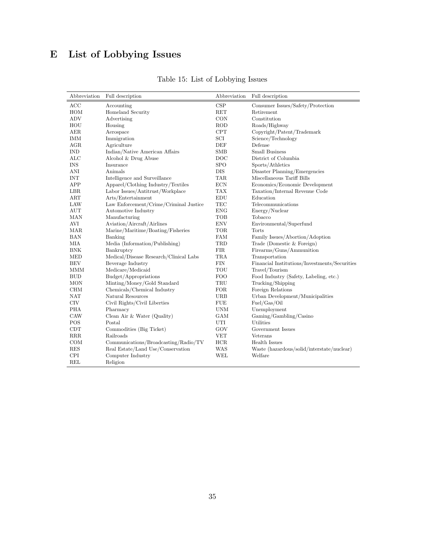# <span id="page-34-0"></span>E List of Lobbying Issues

| Abbreviation       | Full description                       | Abbreviation    | Full description                              |
|--------------------|----------------------------------------|-----------------|-----------------------------------------------|
| ACC                | Accounting                             | CSP             | Consumer Issues/Safety/Protection             |
| HOM                | Homeland Security                      | <b>RET</b>      | Retirement                                    |
| <b>ADV</b>         | Advertising                            | CON             | Constitution                                  |
| HOU                | Housing                                | <b>ROD</b>      | Roads/Highway                                 |
| <b>AER</b>         | Aerospace                              | CPT             | Copyright/Patent/Trademark                    |
| <b>IMM</b>         | Immigration                            | SCI             | Science/Technology                            |
| AGR                | Agriculture                            | DEF             | Defense                                       |
| <b>IND</b>         | Indian/Native American Affairs         | <b>SMB</b>      | <b>Small Business</b>                         |
| $_{\rm ALC}$       | Alcohol & Drug Abuse                   | $_{\text{DOC}}$ | District of Columbia                          |
| <b>INS</b>         | Insurance                              | <b>SPO</b>      | Sports/Athletics                              |
| ANI                | Animals                                | DIS             | Disaster Planning/Emergencies                 |
| <b>INT</b>         | Intelligence and Surveillance          | TAR.            | Miscellaneous Tariff Bills                    |
| APP                | Apparel/Clothing Industry/Textiles     | <b>ECN</b>      | Economics/Economic Development                |
| LBR                | Labor Issues/Antitrust/Workplace       | <b>TAX</b>      | Taxation/Internal Revenue Code                |
| ART                | Arts/Entertainment                     | <b>EDU</b>      | Education                                     |
| LAW                | Law Enforcement/Crime/Criminal Justice | <b>TEC</b>      | Telecommunications                            |
| $\mathop{\rm AUT}$ | Automotive Industry                    | <b>ENG</b>      | Energy/Nuclear                                |
| <b>MAN</b>         | Manufacturing                          | TOB             | Tobacco                                       |
| <b>AVI</b>         | Aviation/Aircraft/Airlines             | <b>ENV</b>      | Environmental/Superfund                       |
| MAR                | Marine/Maritime/Boating/Fisheries      | TOR             | Torts                                         |
| <b>BAN</b>         | Banking                                | <b>FAM</b>      | Family Issues/Abortion/Adoption               |
| МIА                | Media (Information/Publishing)         | TRD             | Trade (Domestic & Foreign)                    |
| <b>BNK</b>         | Bankruptcy                             | <b>FIR</b>      | Firearms/Guns/Ammunition                      |
| <b>MED</b>         | Medical/Disease Research/Clinical Labs | TRA             | Transportation                                |
| <b>BEV</b>         | Beverage Industry                      | <b>FIN</b>      | Financial Institutions/Investments/Securities |
| MMM                | Medicare/Medicaid                      | TOU             | Travel/Tourism                                |
| <b>BUD</b>         | Budget/Appropriations                  | <b>FOO</b>      | Food Industry (Safety, Labeling, etc.)        |
| <b>MON</b>         | Minting/Money/Gold Standard            | TRU             | Trucking/Shipping                             |
| <b>CHM</b>         | Chemicals/Chemical Industry            | FOR             | Foreign Relations                             |
| <b>NAT</b>         | Natural Resources                      | <b>URB</b>      | Urban Development/Municipalities              |
| <b>CIV</b>         | Civil Rights/Civil Liberties           | <b>FUE</b>      | Fuel/Gas/Oil                                  |
| PHA                | Pharmacy                               | <b>UNM</b>      | Unemployment                                  |
| CAW                | Clean Air & Water (Quality)            | GAM             | Gaming/Gambling/Casino                        |
| POS                | Postal                                 | UTI             | Utilities                                     |
| <b>CDT</b>         | Commodities (Big Ticket)               | GOV             | Government Issues                             |
| RRR                | Railroads                              | <b>VET</b>      | Veterans                                      |
| COM                | Communications/Broadcasting/Radio/TV   | <b>HCR</b>      | <b>Health Issues</b>                          |
| <b>RES</b>         | Real Estate/Land Use/Conservation      | <b>WAS</b>      | Waste (hazardous/solid/interstate/nuclear)    |
| <b>CPI</b>         | Computer Industry                      | WEL             | Welfare                                       |
| <b>REL</b>         | Religion                               |                 |                                               |

Table 15: List of Lobbying Issues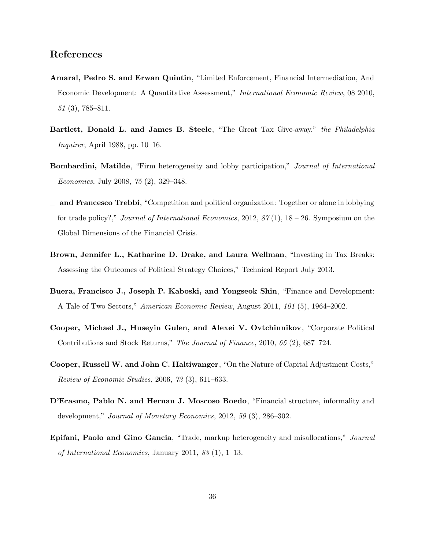# References

- Amaral, Pedro S. and Erwan Quintin, "Limited Enforcement, Financial Intermediation, And Economic Development: A Quantitative Assessment," International Economic Review, 08 2010, 51 (3), 785–811.
- Bartlett, Donald L. and James B. Steele, "The Great Tax Give-away," the Philadelphia Inquirer, April 1988, pp. 10–16.
- Bombardini, Matilde, "Firm heterogeneity and lobby participation," Journal of International Economics, July 2008, 75 (2), 329–348.
- and Francesco Trebbi, "Competition and political organization: Together or alone in lobbying for trade policy?," Journal of International Economics, 2012,  $87(1)$ ,  $18-26$ . Symposium on the Global Dimensions of the Financial Crisis.
- Brown, Jennifer L., Katharine D. Drake, and Laura Wellman, "Investing in Tax Breaks: Assessing the Outcomes of Political Strategy Choices," Technical Report July 2013.
- Buera, Francisco J., Joseph P. Kaboski, and Yongseok Shin, "Finance and Development: A Tale of Two Sectors," American Economic Review, August 2011, 101 (5), 1964–2002.
- Cooper, Michael J., Huseyin Gulen, and Alexei V. Ovtchinnikov, "Corporate Political Contributions and Stock Returns," The Journal of Finance, 2010, 65 (2), 687–724.
- Cooper, Russell W. and John C. Haltiwanger, "On the Nature of Capital Adjustment Costs," Review of Economic Studies, 2006, 73 (3), 611–633.
- D'Erasmo, Pablo N. and Hernan J. Moscoso Boedo, "Financial structure, informality and development," Journal of Monetary Economics, 2012, 59 (3), 286-302.
- Epifani, Paolo and Gino Gancia, "Trade, markup heterogeneity and misallocations," Journal of International Economics, January 2011, 83 (1), 1–13.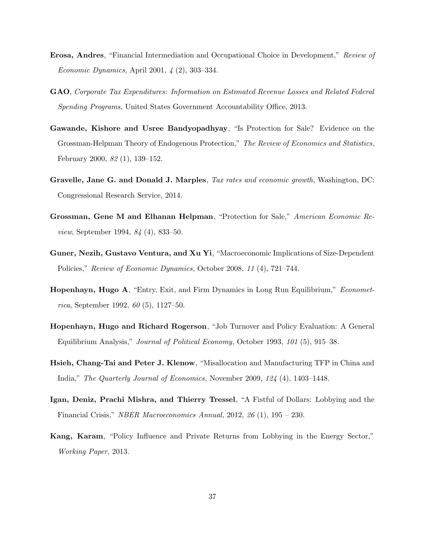- Erosa, Andres, "Financial Intermediation and Occupational Choice in Development," Review of Economic Dynamics, April 2001, 4 (2), 303–334.
- GAO, Corporate Tax Expenditures: Information on Estimated Revenue Losses and Related Federal Spending Programs, United States Government Accountability Office, 2013.
- Gawande, Kishore and Usree Bandyopadhyay, "Is Protection for Sale? Evidence on the Grossman-Helpman Theory of Endogenous Protection," The Review of Economics and Statistics, February 2000, 82 (1), 139–152.
- Gravelle, Jane G. and Donald J. Marples, Tax rates and economic growth, Washington, DC: Congressional Research Service, 2014.
- Grossman, Gene M and Elhanan Helpman, "Protection for Sale," American Economic Review, September 1994, 84 (4), 833–50.
- Guner, Nezih, Gustavo Ventura, and Xu Yi, "Macroeconomic Implications of Size-Dependent Policies," Review of Economic Dynamics, October 2008, 11 (4), 721–744.
- Hopenhayn, Hugo A, "Entry, Exit, and Firm Dynamics in Long Run Equilibrium," Econometrica, September 1992, 60 (5), 1127–50.
- Hopenhayn, Hugo and Richard Rogerson, "Job Turnover and Policy Evaluation: A General Equilibrium Analysis," Journal of Political Economy, October 1993, 101 (5), 915–38.
- Hsieh, Chang-Tai and Peter J. Klenow, "Misallocation and Manufacturing TFP in China and India," The Quarterly Journal of Economics, November 2009, 124 (4), 1403–1448.
- Igan, Deniz, Prachi Mishra, and Thierry Tressel, "A Fistful of Dollars: Lobbying and the Financial Crisis," NBER Macroeconomics Annual, 2012, 26 (1), 195 – 230.
- Kang, Karam, "Policy Influence and Private Returns from Lobbying in the Energy Sector," Working Paper, 2013.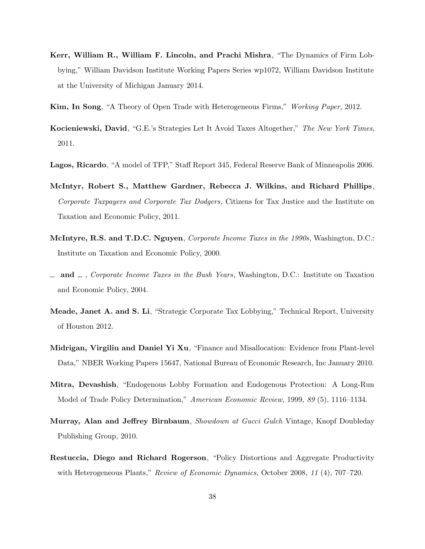- Kerr, William R., William F. Lincoln, and Prachi Mishra, "The Dynamics of Firm Lobbying," William Davidson Institute Working Papers Series wp1072, William Davidson Institute at the University of Michigan January 2014.
- Kim, In Song, "A Theory of Open Trade with Heterogeneous Firms," Working Paper, 2012.
- Kocieniewski, David, "G.E.'s Strategies Let It Avoid Taxes Altogether," The New York Times, 2011.
- Lagos, Ricardo, "A model of TFP," Staff Report 345, Federal Reserve Bank of Minneapolis 2006.
- McIntyr, Robert S., Matthew Gardner, Rebecca J. Wilkins, and Richard Phillips, Corporate Taxpayers and Corporate Tax Dodgers, Citizens for Tax Justice and the Institute on Taxation and Economic Policy, 2011.
- McIntyre, R.S. and T.D.C. Nguyen, Corporate Income Taxes in the 1990s, Washington, D.C.: Institute on Taxation and Economic Policy, 2000.
- $\Box$  and  $\Box$ , Corporate Income Taxes in the Bush Years, Washington, D.C.: Institute on Taxation and Economic Policy, 2004.
- Meade, Janet A. and S. Li, "Strategic Corporate Tax Lobbying," Technical Report, University of Houston 2012.
- Midrigan, Virgiliu and Daniel Yi Xu, "Finance and Misallocation: Evidence from Plant-level Data," NBER Working Papers 15647, National Bureau of Economic Research, Inc January 2010.
- Mitra, Devashish, "Endogenous Lobby Formation and Endogenous Protection: A Long-Run Model of Trade Policy Determination," American Economic Review, 1999, 89 (5), 1116–1134.
- Murray, Alan and Jeffrey Birnbaum, Showdown at Gucci Gulch Vintage, Knopf Doubleday Publishing Group, 2010.
- Restuccia, Diego and Richard Rogerson, "Policy Distortions and Aggregate Productivity with Heterogeneous Plants," Review of Economic Dynamics, October 2008, 11 (4), 707–720.